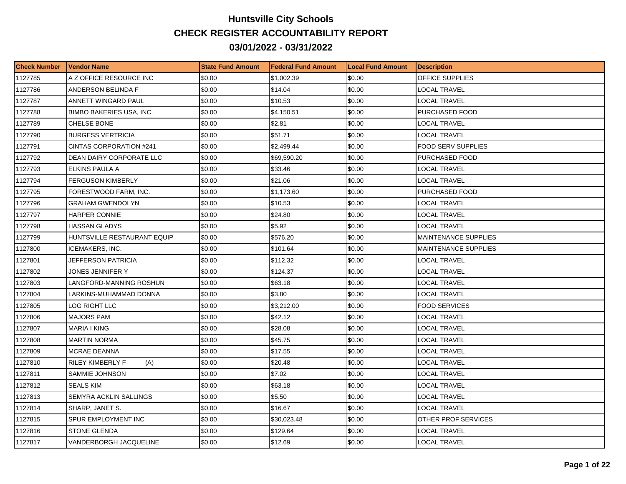## **Huntsville City Schools CHECK REGISTER ACCOUNTABILITY REPORT 03/01/2022 - 03/31/2022**

| <b>Check Number</b> | Vendor Name                     | <b>State Fund Amount</b> | <b>IFederal Fund Amount</b> | <b>Local Fund Amount</b> | <b>Description</b>          |
|---------------------|---------------------------------|--------------------------|-----------------------------|--------------------------|-----------------------------|
| 1127785             | A Z OFFICE RESOURCE INC         | \$0.00                   | \$1,002.39                  | \$0.00                   | OFFICE SUPPLIES             |
| 1127786             | ANDERSON BELINDA F              | \$0.00                   | \$14.04                     | \$0.00                   | LOCAL TRAVEL                |
| 1127787             | ANNETT WINGARD PAUL             | \$0.00                   | \$10.53                     | \$0.00                   | LOCAL TRAVEL                |
| 1127788             | <b>BIMBO BAKERIES USA, INC.</b> | \$0.00                   | \$4,150.51                  | \$0.00                   | PURCHASED FOOD              |
| 1127789             | <b>CHELSE BONE</b>              | \$0.00                   | \$2.81                      | \$0.00                   | LOCAL TRAVEL                |
| 1127790             | <b>BURGESS VERTRICIA</b>        | \$0.00                   | \$51.71                     | \$0.00                   | LOCAL TRAVEL                |
| 1127791             | CINTAS CORPORATION #241         | \$0.00                   | \$2,499.44                  | \$0.00                   | FOOD SERV SUPPLIES          |
| 1127792             | DEAN DAIRY CORPORATE LLC        | \$0.00                   | \$69,590.20                 | \$0.00                   | PURCHASED FOOD              |
| 1127793             | ELKINS PAULA A                  | \$0.00                   | \$33.46                     | \$0.00                   | LOCAL TRAVEL                |
| 1127794             | <b>FERGUSON KIMBERLY</b>        | \$0.00                   | \$21.06                     | \$0.00                   | LOCAL TRAVEL                |
| 1127795             | FORESTWOOD FARM, INC.           | \$0.00                   | \$1,173.60                  | \$0.00                   | PURCHASED FOOD              |
| 1127796             | GRAHAM GWENDOLYN                | \$0.00                   | \$10.53                     | \$0.00                   | LOCAL TRAVEL                |
| 1127797             | <b>HARPER CONNIE</b>            | \$0.00                   | \$24.80                     | \$0.00                   | LOCAL TRAVEL                |
| 1127798             | <b>HASSAN GLADYS</b>            | \$0.00                   | \$5.92                      | \$0.00                   | LOCAL TRAVEL                |
| 1127799             | HUNTSVILLE RESTAURANT EQUIP     | \$0.00                   | \$576.20                    | \$0.00                   | <b>MAINTENANCE SUPPLIES</b> |
| 1127800             | ICEMAKERS, INC.                 | \$0.00                   | \$101.64                    | \$0.00                   | MAINTENANCE SUPPLIES        |
| 1127801             | JEFFERSON PATRICIA              | \$0.00                   | \$112.32                    | \$0.00                   | LOCAL TRAVEL                |
| 1127802             | JONES JENNIFER Y                | \$0.00                   | \$124.37                    | \$0.00                   | LOCAL TRAVEL                |
| 1127803             | LANGFORD-MANNING ROSHUN         | \$0.00                   | \$63.18                     | \$0.00                   | LOCAL TRAVEL                |
| 1127804             | LARKINS-MUHAMMAD DONNA          | \$0.00                   | \$3.80                      | \$0.00                   | LOCAL TRAVEL                |
| 1127805             | LOG RIGHT LLC                   | \$0.00                   | \$3,212.00                  | \$0.00                   | <b>FOOD SERVICES</b>        |
| 1127806             | MAJORS PAM                      | \$0.00                   | \$42.12                     | \$0.00                   | LOCAL TRAVEL                |
| 1127807             | MARIA I KING                    | \$0.00                   | \$28.08                     | \$0.00                   | LOCAL TRAVEL                |
| 1127808             | <b>MARTIN NORMA</b>             | \$0.00                   | \$45.75                     | \$0.00                   | LOCAL TRAVEL                |
| 1127809             | MCRAE DEANNA                    | \$0.00                   | \$17.55                     | \$0.00                   | LOCAL TRAVEL                |
| 1127810             | RILEY KIMBERLY F<br>(A)         | \$0.00                   | \$20.48                     | \$0.00                   | LOCAL TRAVEL                |
| 1127811             | SAMMIE JOHNSON                  | \$0.00                   | \$7.02                      | \$0.00                   | LOCAL TRAVEL                |
| 1127812             | <b>SEALS KIM</b>                | \$0.00                   | \$63.18                     | \$0.00                   | LOCAL TRAVEL                |
| 1127813             | SEMYRA ACKLIN SALLINGS          | \$0.00                   | \$5.50                      | \$0.00                   | LOCAL TRAVEL                |
| 1127814             | SHARP, JANET S.                 | \$0.00                   | \$16.67                     | \$0.00                   | LOCAL TRAVEL                |
| 1127815             | SPUR EMPLOYMENT INC             | \$0.00                   | \$30,023.48                 | \$0.00                   | OTHER PROF SERVICES         |
| 1127816             | STONE GLENDA                    | \$0.00                   | \$129.64                    | \$0.00                   | LOCAL TRAVEL                |
| 1127817             | VANDERBORGH JACQUELINE          | \$0.00                   | \$12.69                     | \$0.00                   | LOCAL TRAVEL                |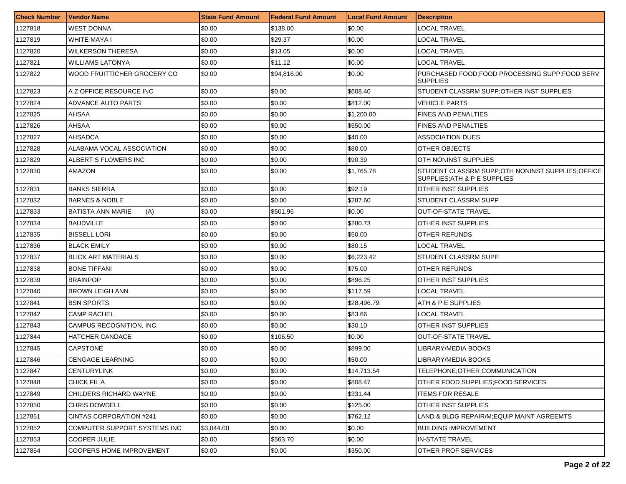| <b>Check Number</b> | l Vendor Name                   | <b>State Fund Amount</b> | l Federal Fund Amount | <b>Local Fund Amount</b> | <b>Description</b>                                                              |
|---------------------|---------------------------------|--------------------------|-----------------------|--------------------------|---------------------------------------------------------------------------------|
| 1127818             | <b>WEST DONNA</b>               | \$0.00                   | \$138.00              | \$0.00                   | LOCAL TRAVEL                                                                    |
| 1127819             | WHITE MAYA I                    | \$0.00                   | \$29.37               | \$0.00                   | LOCAL TRAVEL                                                                    |
| 1127820             | <b>WILKERSON THERESA</b>        | \$0.00                   | \$13.05               | \$0.00                   | LOCAL TRAVEL                                                                    |
| 1127821             | <b>WILLIAMS LATONYA</b>         | \$0.00                   | \$11.12               | \$0.00                   | <b>LOCAL TRAVEL</b>                                                             |
| 1127822             | WOOD FRUITTICHER GROCERY CO     | \$0.00                   | \$94,816.00           | \$0.00                   | PURCHASED FOOD;FOOD PROCESSING SUPP;FOOD SERV<br>ISUPPLIES                      |
| 1127823             | A Z OFFICE RESOURCE INC         | \$0.00                   | \$0.00                | \$608.40                 | STUDENT CLASSRM SUPP: OTHER INST SUPPLIES                                       |
| 1127824             | ADVANCE AUTO PARTS              | \$0.00                   | \$0.00                | \$812.00                 | VEHICLE PARTS                                                                   |
| 1127825             | AHSAA                           | \$0.00                   | \$0.00                | \$1,200.00               | <b>FINES AND PENALTIES</b>                                                      |
| 1127826             | AHSAA                           | \$0.00                   | \$0.00                | \$550.00                 | <b>FINES AND PENALTIES</b>                                                      |
| 1127827             | AHSADCA                         | \$0.00                   | \$0.00                | \$40.00                  | ASSOCIATION DUES                                                                |
| 1127828             | ALABAMA VOCAL ASSOCIATION       | \$0.00                   | \$0.00                | \$80.00                  | <b>OTHER OBJECTS</b>                                                            |
| 1127829             | ALBERT S FLOWERS INC            | \$0.00                   | \$0.00                | \$90.39                  | <b>OTH NONINST SUPPLIES</b>                                                     |
| 1127830             | AMAZON                          | \$0.00                   | \$0.00                | \$1,765.78               | STUDENT CLASSRM SUPP;OTH NONINST SUPPLIES;OFFICE<br>SUPPLIES:ATH & P E SUPPLIES |
| 1127831             | <b>BANKS SIERRA</b>             | \$0.00                   | \$0.00                | \$92.19                  | <b>OTHER INST SUPPLIES</b>                                                      |
| 1127832             | <b>BARNES &amp; NOBLE</b>       | \$0.00                   | \$0.00                | \$287.60                 | <b>STUDENT CLASSRM SUPP</b>                                                     |
| 1127833             | <b>BATISTA ANN MARIE</b><br>(A) | \$0.00                   | \$501.96              | \$0.00                   | OUT-OF-STATE TRAVEL                                                             |
| 1127834             | <b>BAUDVILLE</b>                | \$0.00                   | \$0.00                | \$280.73                 | OTHER INST SUPPLIES                                                             |
| 1127835             | <b>BISSELL LORI</b>             | \$0.00                   | \$0.00                | \$50.00                  | OTHER REFUNDS                                                                   |
| 1127836             | <b>BLACK EMILY</b>              | \$0.00                   | \$0.00                | \$80.15                  | <b>LOCAL TRAVEL</b>                                                             |
| 1127837             | <b>BLICK ART MATERIALS</b>      | \$0.00                   | \$0.00                | \$6,223.42               | <b>STUDENT CLASSRM SUPP</b>                                                     |
| 1127838             | <b>BONE TIFFANI</b>             | \$0.00                   | \$0.00                | \$75.00                  | <b>OTHER REFUNDS</b>                                                            |
| 1127839             | <b>BRAINPOP</b>                 | \$0.00                   | \$0.00                | \$896.25                 | OTHER INST SUPPLIES                                                             |
| 1127840             | <b>BROWN LEIGH ANN</b>          | \$0.00                   | \$0.00                | \$117.59                 | LOCAL TRAVEL                                                                    |
| 1127841             | <b>BSN SPORTS</b>               | \$0.00                   | \$0.00                | \$28,496.79              | ATH & P E SUPPLIES                                                              |
| 1127842             | <b>CAMP RACHEL</b>              | \$0.00                   | \$0.00                | \$83.66                  | LOCAL TRAVEL                                                                    |
| 1127843             | CAMPUS RECOGNITION, INC.        | \$0.00                   | \$0.00                | \$30.10                  | OTHER INST SUPPLIES                                                             |
| 1127844             | <b>HATCHER CANDACE</b>          | \$0.00                   | \$106.50              | \$0.00                   | OUT-OF-STATE TRAVEL                                                             |
| 1127845             | CAPSTONE                        | \$0.00                   | \$0.00                | \$899.00                 | LIBRARY/MEDIA BOOKS                                                             |
| 1127846             | CENGAGE LEARNING                | \$0.00                   | \$0.00                | \$50.00                  | LIBRARY/MEDIA BOOKS                                                             |
| 1127847             | <b>CENTURYLINK</b>              | \$0.00                   | \$0.00                | \$14,713.54              | TELEPHONE; OTHER COMMUNICATION                                                  |
| 1127848             | CHICK FIL A                     | \$0.00                   | \$0.00                | \$808.47                 | OTHER FOOD SUPPLIES:FOOD SERVICES                                               |
| 1127849             | CHILDERS RICHARD WAYNE          | \$0.00                   | \$0.00                | \$331.44                 | <b>ITEMS FOR RESALE</b>                                                         |
| 1127850             | <b>CHRIS DOWDELL</b>            | \$0.00                   | \$0.00                | \$125.00                 | <b>OTHER INST SUPPLIES</b>                                                      |
| 1127851             | CINTAS CORPORATION #241         | \$0.00                   | \$0.00                | \$762.12                 | LAND & BLDG REPAIR/M:EQUIP MAINT AGREEMTS                                       |
| 1127852             | COMPUTER SUPPORT SYSTEMS INC    | \$3,044.00               | \$0.00                | \$0.00                   | <b>BUILDING IMPROVEMENT</b>                                                     |
| 1127853             | <b>COOPER JULIE</b>             | \$0.00                   | \$563.70              | \$0.00                   | IN-STATE TRAVEL                                                                 |
| 1127854             | <b>COOPERS HOME IMPROVEMENT</b> | \$0.00                   | \$0.00                | \$350.00                 | <b>OTHER PROF SERVICES</b>                                                      |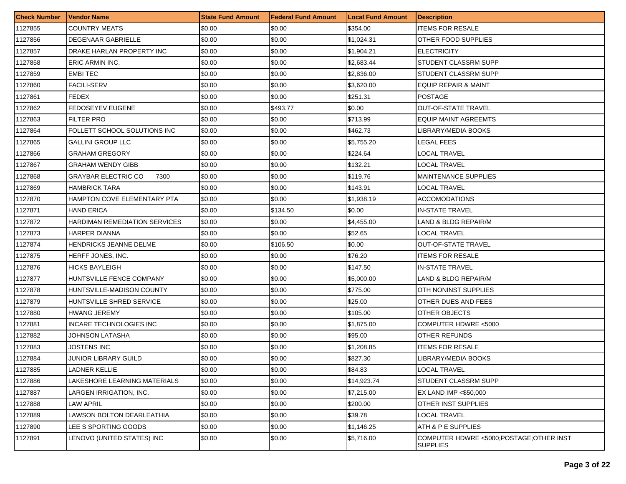| <b>Check Number</b> | Vendor Name                        | <b>State Fund Amount</b> | l Federal Fund Amount | <b>Local Fund Amount</b> | Description                                                |
|---------------------|------------------------------------|--------------------------|-----------------------|--------------------------|------------------------------------------------------------|
| 1127855             | <b>COUNTRY MEATS</b>               | \$0.00                   | \$0.00                | \$354.00                 | ITEMS FOR RESALE                                           |
| 1127856             | DEGENAAR GABRIELLE                 | \$0.00                   | \$0.00                | \$1,024.31               | OTHER FOOD SUPPLIES                                        |
| 1127857             | DRAKE HARLAN PROPERTY INC          | \$0.00                   | \$0.00                | \$1.904.21               | <b>ELECTRICITY</b>                                         |
| 1127858             | <b>ERIC ARMIN INC.</b>             | \$0.00                   | \$0.00                | \$2,683.44               | <b>STUDENT CLASSRM SUPP</b>                                |
| 1127859             | <b>EMBITEC</b>                     | \$0.00                   | \$0.00                | \$2,836.00               | STUDENT CLASSRM SUPP                                       |
| 1127860             | <b>FACILI-SERV</b>                 | \$0.00                   | \$0.00                | \$3,620.00               | <b>EQUIP REPAIR &amp; MAINT</b>                            |
| 1127861             | <b>FEDEX</b>                       | \$0.00                   | \$0.00                | \$251.31                 | <b>POSTAGE</b>                                             |
| 1127862             | FEDOSEYEV EUGENE                   | \$0.00                   | \$493.77              | \$0.00                   | OUT-OF-STATE TRAVEL                                        |
| 1127863             | <b>FILTER PRO</b>                  | \$0.00                   | \$0.00                | \$713.99                 | <b>EQUIP MAINT AGREEMTS</b>                                |
| 1127864             | FOLLETT SCHOOL SOLUTIONS INC       | \$0.00                   | \$0.00                | \$462.73                 | IBRARY/MEDIA BOOKS                                         |
| 1127865             | <b>GALLINI GROUP LLC</b>           | \$0.00                   | \$0.00                | \$5,755.20               | LEGAL FEES                                                 |
| 1127866             | GRAHAM GREGORY                     | \$0.00                   | \$0.00                | \$224.64                 | LOCAL TRAVEL                                               |
| 1127867             | GRAHAM WENDY GIBB                  | \$0.00                   | \$0.00                | \$132.21                 | LOCAL TRAVEL                                               |
| 1127868             | <b>GRAYBAR ELECTRIC CO</b><br>7300 | \$0.00                   | \$0.00                | \$119.76                 | <b>MAINTENANCE SUPPLIES</b>                                |
| 1127869             | HAMBRICK TARA                      | \$0.00                   | \$0.00                | \$143.91                 | LOCAL TRAVEL                                               |
| 1127870             | HAMPTON COVE ELEMENTARY PTA        | \$0.00                   | \$0.00                | \$1,938.19               | <b>ACCOMODATIONS</b>                                       |
| 1127871             | HAND ERICA                         | \$0.00                   | \$134.50              | \$0.00                   | <b>IN-STATE TRAVEL</b>                                     |
| 1127872             | HARDIMAN REMEDIATION SERVICES      | \$0.00                   | \$0.00                | \$4,455,00               | LAND & BLDG REPAIR/M                                       |
| 1127873             | <b>HARPER DIANNA</b>               | \$0.00                   | \$0.00                | \$52.65                  | LOCAL TRAVEL                                               |
| 1127874             | HENDRICKS JEANNE DELME             | \$0.00                   | \$106.50              | \$0.00                   | <b>OUT-OF-STATE TRAVEL</b>                                 |
| 1127875             | HERFF JONES, INC.                  | \$0.00                   | \$0.00                | \$76.20                  | <b>ITEMS FOR RESALE</b>                                    |
| 1127876             | HICKS BAYLEIGH                     | \$0.00                   | \$0.00                | \$147.50                 | IN-STATE TRAVEL                                            |
| 1127877             | HUNTSVILLE FENCE COMPANY           | \$0.00                   | \$0.00                | \$5,000.00               | LAND & BLDG REPAIR/M                                       |
| 1127878             | HUNTSVILLE-MADISON COUNTY          | \$0.00                   | \$0.00                | \$775.00                 | OTH NONINST SUPPLIES                                       |
| 1127879             | HUNTSVILLE SHRED SERVICE           | \$0.00                   | \$0.00                | \$25.00                  | OTHER DUES AND FEES                                        |
| 1127880             | <b>HWANG JEREMY</b>                | \$0.00                   | \$0.00                | \$105.00                 | <b>OTHER OBJECTS</b>                                       |
| 1127881             | INCARE TECHNOLOGIES INC            | \$0.00                   | \$0.00                | \$1,875.00               | COMPUTER HDWRE <5000                                       |
| 1127882             | JOHNSON LATASHA                    | \$0.00                   | \$0.00                | \$95.00                  | OTHER REFUNDS                                              |
| 1127883             | JOSTENS INC                        | \$0.00                   | \$0.00                | \$1,208.85               | <b>TEMS FOR RESALE</b>                                     |
| 1127884             | JUNIOR LIBRARY GUILD               | \$0.00                   | \$0.00                | \$827.30                 | IBRARY/MEDIA BOOKS                                         |
| 1127885             | <b>LADNER KELLIE</b>               | \$0.00                   | \$0.00                | \$84.83                  | <b>LOCAL TRAVEL</b>                                        |
| 1127886             | LAKESHORE LEARNING MATERIALS       | \$0.00                   | \$0.00                | \$14,923.74              | STUDENT CLASSRM SUPP                                       |
| 1127887             | LARGEN IRRIGATION, INC.            | \$0.00                   | \$0.00                | \$7,215.00               | EX LAND IMP <\$50,000                                      |
| 1127888             | <b>LAW APRIL</b>                   | \$0.00                   | \$0.00                | \$200.00                 | <b>OTHER INST SUPPLIES</b>                                 |
| 1127889             | LAWSON BOLTON DEARLEATHIA          | \$0.00                   | \$0.00                | \$39.78                  | LOCAL TRAVEL                                               |
| 1127890             | LEE S SPORTING GOODS               | \$0.00                   | \$0.00                | \$1,146.25               | ATH & P E SUPPLIES                                         |
| 1127891             | LENOVO (UNITED STATES) INC         | \$0.00                   | \$0.00                | \$5,716.00               | COMPUTER HDWRE <5000;POSTAGE;OTHER INST<br><b>SUPPLIES</b> |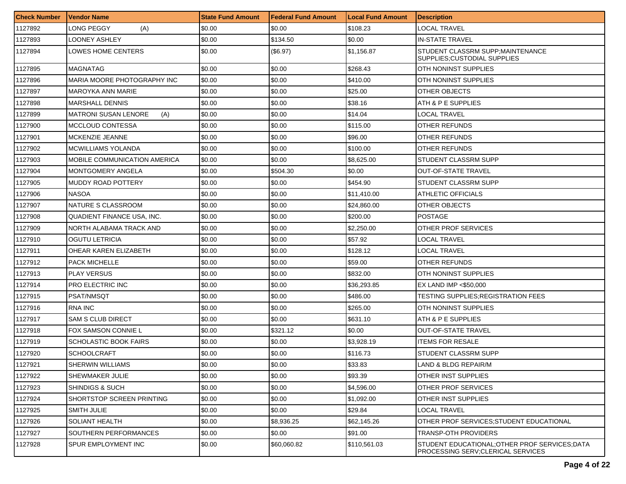| <b>Check Number</b> | <b>Vendor Name</b>                 | <b>State Fund Amount</b> | l Federal Fund Amount | <b>Local Fund Amount</b> | <b>Description</b>                                                                   |
|---------------------|------------------------------------|--------------------------|-----------------------|--------------------------|--------------------------------------------------------------------------------------|
| 1127892             | LONG PEGGY<br>(A)                  | \$0.00                   | \$0.00                | \$108.23                 | LOCAL TRAVEL                                                                         |
| 1127893             | LOONEY ASHLEY                      | \$0.00                   | \$134.50              | \$0.00                   | <b>IN-STATE TRAVEL</b>                                                               |
| 1127894             | LOWES HOME CENTERS                 | \$0.00                   | (\$6.97)              | \$1,156.87               | STUDENT CLASSRM SUPP; MAINTENANCE<br>SUPPLIES; CUSTODIAL SUPPLIES                    |
| 1127895             | MAGNATAG                           | \$0.00                   | \$0.00                | \$268.43                 | OTH NONINST SUPPLIES                                                                 |
| 1127896             | MARIA MOORE PHOTOGRAPHY INC        | \$0.00                   | \$0.00                | \$410.00                 | <b>OTH NONINST SUPPLIES</b>                                                          |
| 1127897             | <b>MAROYKA ANN MARIE</b>           | \$0.00                   | \$0.00                | \$25.00                  | OTHER OBJECTS                                                                        |
| 1127898             | <b>MARSHALL DENNIS</b>             | \$0.00                   | \$0.00                | \$38.16                  | ATH & P E SUPPLIES                                                                   |
| 1127899             | <b>MATRONI SUSAN LENORE</b><br>(A) | \$0.00                   | \$0.00                | \$14.04                  | <b>LOCAL TRAVEL</b>                                                                  |
| 1127900             | MCCLOUD CONTESSA                   | \$0.00                   | \$0.00                | \$115.00                 | OTHER REFUNDS                                                                        |
| 1127901             | MCKENZIE JEANNE                    | \$0.00                   | \$0.00                | \$96.00                  | OTHER REFUNDS                                                                        |
| 1127902             | MCWILLIAMS YOLANDA                 | \$0.00                   | \$0.00                | \$100.00                 | OTHER REFUNDS                                                                        |
| 1127903             | MOBILE COMMUNICATION AMERICA       | \$0.00                   | \$0.00                | \$8,625.00               | STUDENT CLASSRM SUPP                                                                 |
| 1127904             | MONTGOMERY ANGELA                  | \$0.00                   | \$504.30              | \$0.00                   | <b>OUT-OF-STATE TRAVEL</b>                                                           |
| 1127905             | MUDDY ROAD POTTERY                 | \$0.00                   | \$0.00                | \$454.90                 | STUDENT CLASSRM SUPP                                                                 |
| 1127906             | <b>NASOA</b>                       | \$0.00                   | \$0.00                | \$11,410.00              | <b>ATHLETIC OFFICIALS</b>                                                            |
| 1127907             | NATURE S CLASSROOM                 | \$0.00                   | \$0.00                | \$24.860.00              | OTHER OBJECTS                                                                        |
| 1127908             | QUADIENT FINANCE USA, INC.         | \$0.00                   | \$0.00                | \$200.00                 | <b>POSTAGE</b>                                                                       |
| 1127909             | NORTH ALABAMA TRACK AND            | \$0.00                   | \$0.00                | \$2,250.00               | <b>OTHER PROF SERVICES</b>                                                           |
| 1127910             | OGUTU LETRICIA                     | \$0.00                   | \$0.00                | \$57.92                  | LOCAL TRAVEL                                                                         |
| 1127911             | OHEAR KAREN ELIZABETH              | \$0.00                   | \$0.00                | \$128.12                 | LOCAL TRAVEL                                                                         |
| 1127912             | PACK MICHELLE                      | \$0.00                   | \$0.00                | \$59.00                  | OTHER REFUNDS                                                                        |
| 1127913             | PLAY VERSUS                        | \$0.00                   | \$0.00                | \$832.00                 | OTH NONINST SUPPLIES                                                                 |
| 1127914             | PRO ELECTRIC INC                   | \$0.00                   | \$0.00                | \$36,293.85              | EX LAND IMP <\$50,000                                                                |
| 1127915             | PSAT/NMSQT                         | \$0.00                   | \$0.00                | \$486.00                 | TESTING SUPPLIES;REGISTRATION FEES                                                   |
| 1127916             | <b>RNA INC</b>                     | \$0.00                   | \$0.00                | \$265.00                 | <b>OTH NONINST SUPPLIES</b>                                                          |
| 1127917             | <b>SAM S CLUB DIRECT</b>           | \$0.00                   | \$0.00                | \$631.10                 | ATH & P E SUPPLIES                                                                   |
| 1127918             | FOX SAMSON CONNIE L                | \$0.00                   | \$321.12              | \$0.00                   | <b>OUT-OF-STATE TRAVEL</b>                                                           |
| 1127919             | <b>SCHOLASTIC BOOK FAIRS</b>       | \$0.00                   | \$0.00                | \$3,928.19               | <b>ITEMS FOR RESALE</b>                                                              |
| 1127920             | SCHOOLCRAFT                        | \$0.00                   | \$0.00                | \$116.73                 | STUDENT CLASSRM SUPP                                                                 |
| 1127921             | SHERWIN WILLIAMS                   | \$0.00                   | \$0.00                | \$33.83                  | LAND & BLDG REPAIR/M                                                                 |
| 1127922             | SHEWMAKER JULIE                    | \$0.00                   | \$0.00                | \$93.39                  | OTHER INST SUPPLIES                                                                  |
| 1127923             | <b>SHINDIGS &amp; SUCH</b>         | \$0.00                   | \$0.00                | \$4,596.00               | <b>OTHER PROF SERVICES</b>                                                           |
| 1127924             | SHORTSTOP SCREEN PRINTING          | \$0.00                   | \$0.00                | \$1,092.00               | OTHER INST SUPPLIES                                                                  |
| 1127925             | SMITH JULIE                        | \$0.00                   | \$0.00                | \$29.84                  | LOCAL TRAVEL                                                                         |
| 1127926             | SOLIANT HEALTH                     | \$0.00                   | \$8,936.25            | \$62,145.26              | OTHER PROF SERVICES; STUDENT EDUCATIONAL                                             |
| 1127927             | SOUTHERN PERFORMANCES              | \$0.00                   | \$0.00                | \$91.00                  | TRANSP-OTH PROVIDERS                                                                 |
| 1127928             | SPUR EMPLOYMENT INC                | \$0.00                   | \$60,060.82           | \$110,561.03             | STUDENT EDUCATIONAL; OTHER PROF SERVICES; DATA<br>PROCESSING SERV; CLERICAL SERVICES |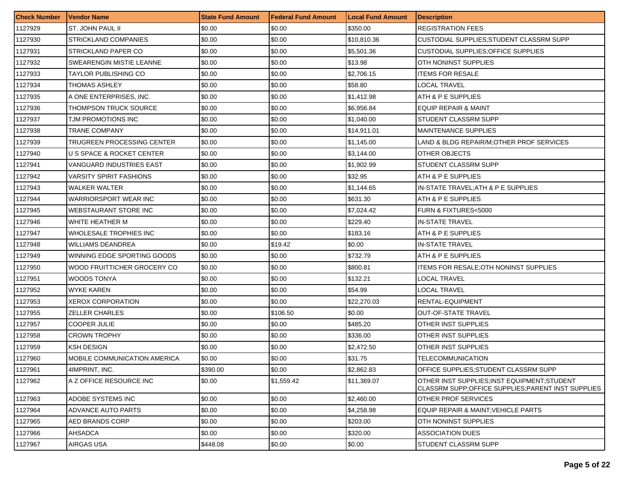| <b>Check Number</b> | <b>Vendor Name</b>             | <b>State Fund Amount</b> | l Federal Fund Amount | <b>Local Fund Amount</b> | <b>Description</b>                                                                                |
|---------------------|--------------------------------|--------------------------|-----------------------|--------------------------|---------------------------------------------------------------------------------------------------|
| 1127929             | ST. JOHN PAUL II               | \$0.00                   | \$0.00                | \$350.00                 | <b>REGISTRATION FEES</b>                                                                          |
| 1127930             | <b>STRICKLAND COMPANIES</b>    | \$0.00                   | \$0.00                | \$10,810.36              | CUSTODIAL SUPPLIES; STUDENT CLASSRM SUPP                                                          |
| 1127931             | STRICKLAND PAPER CO            | \$0.00                   | \$0.00                | \$5,501.36               | <b>CUSTODIAL SUPPLIES: OFFICE SUPPLIES</b>                                                        |
| 1127932             | SWEARENGIN MISTIE LEANNE       | \$0.00                   | \$0.00                | \$13.98                  | OTH NONINST SUPPLIES                                                                              |
| 1127933             | TAYLOR PUBLISHING CO           | \$0.00                   | \$0.00                | \$2,706.15               | ITEMS FOR RESALE                                                                                  |
| 1127934             | THOMAS ASHLEY                  | \$0.00                   | \$0.00                | \$58.80                  | LOCAL TRAVEL                                                                                      |
| 1127935             | A ONE ENTERPRISES, INC.        | \$0.00                   | \$0.00                | \$1,412.98               | ATH & P E SUPPLIES                                                                                |
| 1127936             | THOMPSON TRUCK SOURCE          | \$0.00                   | \$0.00                | \$6,956.84               | EQUIP REPAIR & MAINT                                                                              |
| 1127937             | TJM PROMOTIONS INC             | \$0.00                   | \$0.00                | \$1,040.00               | <b>STUDENT CLASSRM SUPP</b>                                                                       |
| 1127938             | TRANE COMPANY                  | \$0.00                   | \$0.00                | \$14,911.01              | <b>MAINTENANCE SUPPLIES</b>                                                                       |
| 1127939             | TRUGREEN PROCESSING CENTER     | \$0.00                   | \$0.00                | \$1,145.00               | LAND & BLDG REPAIR/M; OTHER PROF SERVICES                                                         |
| 1127940             | U S SPACE & ROCKET CENTER      | \$0.00                   | \$0.00                | \$3,144.00               | OTHER OBJECTS                                                                                     |
| 1127941             | VANGUARD INDUSTRIES EAST       | \$0.00                   | \$0.00                | \$1,902.99               | STUDENT CLASSRM SUPP                                                                              |
| 1127942             | <b>VARSITY SPIRIT FASHIONS</b> | \$0.00                   | \$0.00                | \$32.95                  | <b>ATH &amp; P E SUPPLIES</b>                                                                     |
| 1127943             | WALKER WALTER                  | \$0.00                   | \$0.00                | \$1,144.65               | IN-STATE TRAVEL; ATH & P E SUPPLIES                                                               |
| 1127944             | WARRIORSPORT WEAR INC          | \$0.00                   | \$0.00                | \$631.30                 | ATH & P E SUPPLIES                                                                                |
| 1127945             | WEBSTAURANT STORE INC          | \$0.00                   | \$0.00                | \$7,024.42               | FURN & FIXTURES<5000                                                                              |
| 1127946             | WHITE HEATHER M                | \$0.00                   | \$0.00                | \$229.40                 | IN-STATE TRAVEL                                                                                   |
| 1127947             | WHOLESALE TROPHIES INC         | \$0.00                   | \$0.00                | \$183.16                 | ATH & P E SUPPLIES                                                                                |
| 1127948             | <b>WILLIAMS DEANDREA</b>       | \$0.00                   | \$19.42               | \$0.00                   | IN-STATE TRAVEL                                                                                   |
| 1127949             | WINNING EDGE SPORTING GOODS    | \$0.00                   | \$0.00                | \$732.79                 | ATH & P E SUPPLIES                                                                                |
| 1127950             | WOOD FRUITTICHER GROCERY CO    | \$0.00                   | \$0.00                | \$800.81                 | ITEMS FOR RESALE; OTH NONINST SUPPLIES                                                            |
| 1127951             | WOODS TONYA                    | \$0.00                   | \$0.00                | \$132.21                 | LOCAL TRAVEL                                                                                      |
| 1127952             | <b>WYKE KAREN</b>              | \$0.00                   | \$0.00                | \$54.99                  | LOCAL TRAVEL                                                                                      |
| 1127953             | XEROX CORPORATION              | \$0.00                   | \$0.00                | \$22,270.03              | RENTAL-EQUIPMENT                                                                                  |
| 1127955             | <b>ZELLER CHARLES</b>          | \$0.00                   | \$106.50              | \$0.00                   | <b>OUT-OF-STATE TRAVEL</b>                                                                        |
| 1127957             | <b>COOPER JULIE</b>            | \$0.00                   | \$0.00                | \$485.20                 | OTHER INST SUPPLIES                                                                               |
| 1127958             | <b>CROWN TROPHY</b>            | \$0.00                   | \$0.00                | \$336.00                 | OTHER INST SUPPLIES                                                                               |
| 1127959             | <b>KSH DESIGN</b>              | \$0.00                   | \$0.00                | \$2,472.50               | OTHER INST SUPPLIES                                                                               |
| 1127960             | MOBILE COMMUNICATION AMERICA   | \$0.00                   | \$0.00                | \$31.75                  | TELECOMMUNICATION                                                                                 |
| 1127961             | 4IMPRINT, INC.                 | \$390.00                 | \$0.00                | \$2,862.83               | OFFICE SUPPLIES:STUDENT CLASSRM SUPP                                                              |
| 1127962             | A Z OFFICE RESOURCE INC        | \$0.00                   | \$1,559.42            | \$11,369.07              | OTHER INST SUPPLIES:INST EQUIPMENT:STUDENT<br>CLASSRM SUPP; OFFICE SUPPLIES; PARENT INST SUPPLIES |
| 1127963             | ADOBE SYSTEMS INC              | \$0.00                   | \$0.00                | \$2,460.00               | OTHER PROF SERVICES                                                                               |
| 1127964             | ADVANCE AUTO PARTS             | \$0.00                   | \$0.00                | \$4,258.98               | EQUIP REPAIR & MAINT; VEHICLE PARTS                                                               |
| 1127965             | <b>AED BRANDS CORP</b>         | \$0.00                   | \$0.00                | \$203.00                 | OTH NONINST SUPPLIES                                                                              |
| 1127966             | AHSADCA                        | \$0.00                   | \$0.00                | \$320.00                 | ASSOCIATION DUES                                                                                  |
| 1127967             | AIRGAS USA                     | \$448.08                 | \$0.00                | \$0.00                   | <b>STUDENT CLASSRM SUPP</b>                                                                       |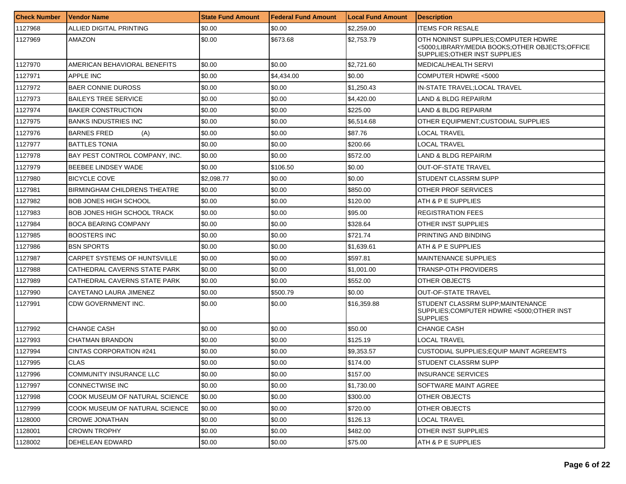| <b>Check Number</b> | <b>Vendor Name</b>                  | <b>State Fund Amount</b> | Federal Fund Amount | <b>Local Fund Amount</b> | <b>Description</b>                                                                                                     |
|---------------------|-------------------------------------|--------------------------|---------------------|--------------------------|------------------------------------------------------------------------------------------------------------------------|
| 1127968             | ALLIED DIGITAL PRINTING             | \$0.00                   | \$0.00              | \$2,259.00               | <b>ITEMS FOR RESALE</b>                                                                                                |
| 1127969             | AMAZON                              | \$0.00                   | \$673.68            | \$2,753.79               | OTH NONINST SUPPLIES;COMPUTER HDWRE<br><5000;LIBRARY/MEDIA BOOKS;OTHER OBJECTS;OFFICE<br>SUPPLIES: OTHER INST SUPPLIES |
| 1127970             | AMERICAN BEHAVIORAL BENEFITS        | \$0.00                   | \$0.00              | \$2,721.60               | MEDICAL/HEALTH SERVI                                                                                                   |
| 1127971             | <b>APPLE INC</b>                    | \$0.00                   | \$4,434.00          | \$0.00                   | COMPUTER HDWRE <5000                                                                                                   |
| 1127972             | <b>BAER CONNIE DUROSS</b>           | \$0.00                   | \$0.00              | \$1,250.43               | IN-STATE TRAVEL;LOCAL TRAVEL                                                                                           |
| 1127973             | <b>BAILEYS TREE SERVICE</b>         | \$0.00                   | \$0.00              | \$4,420.00               | LAND & BLDG REPAIR/M                                                                                                   |
| 1127974             | <b>BAKER CONSTRUCTION</b>           | \$0.00                   | \$0.00              | \$225.00                 | LAND & BLDG REPAIR/M                                                                                                   |
| 1127975             | <b>BANKS INDUSTRIES INC</b>         | \$0.00                   | \$0.00              | \$6,514.68               | OTHER EQUIPMENT; CUSTODIAL SUPPLIES                                                                                    |
| 1127976             | <b>BARNES FRED</b><br>(A)           | \$0.00                   | \$0.00              | \$87.76                  | LOCAL TRAVEL                                                                                                           |
| 1127977             | <b>BATTLES TONIA</b>                | \$0.00                   | \$0.00              | \$200.66                 | LOCAL TRAVEL                                                                                                           |
| 1127978             | BAY PEST CONTROL COMPANY, INC.      | \$0.00                   | \$0.00              | \$572.00                 | LAND & BLDG REPAIR/M                                                                                                   |
| 1127979             | BEEBEE LINDSEY WADE                 | \$0.00                   | \$106.50            | \$0.00                   | <b>OUT-OF-STATE TRAVEL</b>                                                                                             |
| 1127980             | <b>BICYCLE COVE</b>                 | \$2,098.77               | \$0.00              | \$0.00                   | <b>STUDENT CLASSRM SUPP</b>                                                                                            |
| 1127981             | <b>BIRMINGHAM CHILDRENS THEATRE</b> | \$0.00                   | \$0.00              | \$850.00                 | OTHER PROF SERVICES                                                                                                    |
| 1127982             | <b>BOB JONES HIGH SCHOOL</b>        | \$0.00                   | \$0.00              | \$120.00                 | ATH & P E SUPPLIES                                                                                                     |
| 1127983             | <b>BOB JONES HIGH SCHOOL TRACK</b>  | \$0.00                   | \$0.00              | \$95.00                  | <b>REGISTRATION FEES</b>                                                                                               |
| 1127984             | <b>BOCA BEARING COMPANY</b>         | \$0.00                   | \$0.00              | \$328.64                 | OTHER INST SUPPLIES                                                                                                    |
| 1127985             | <b>BOOSTERS INC</b>                 | \$0.00                   | \$0.00              | \$721.74                 | PRINTING AND BINDING                                                                                                   |
| 1127986             | <b>BSN SPORTS</b>                   | \$0.00                   | \$0.00              | \$1,639.61               | ATH & P E SUPPLIES                                                                                                     |
| 1127987             | CARPET SYSTEMS OF HUNTSVILLE        | \$0.00                   | \$0.00              | \$597.81                 | <b>MAINTENANCE SUPPLIES</b>                                                                                            |
| 1127988             | CATHEDRAL CAVERNS STATE PARK        | \$0.00                   | \$0.00              | \$1,001.00               | <b>TRANSP-OTH PROVIDERS</b>                                                                                            |
| 1127989             | CATHEDRAL CAVERNS STATE PARK        | \$0.00                   | \$0.00              | \$552.00                 | OTHER OBJECTS                                                                                                          |
| 1127990             | CAYETANO LAURA JIMENEZ              | \$0.00                   | \$500.79            | \$0.00                   | <b>OUT-OF-STATE TRAVEL</b>                                                                                             |
| 1127991             | CDW GOVERNMENT INC.                 | \$0.00                   | \$0.00              | \$16,359.88              | STUDENT CLASSRM SUPP;MAINTENANCE<br>SUPPLIES;COMPUTER HDWRE <5000;OTHER INST<br><b>SUPPLIES</b>                        |
| 1127992             | <b>CHANGE CASH</b>                  | \$0.00                   | \$0.00              | \$50.00                  | <b>CHANGE CASH</b>                                                                                                     |
| 1127993             | CHATMAN BRANDON                     | \$0.00                   | \$0.00              | \$125.19                 | <b>LOCAL TRAVEL</b>                                                                                                    |
| 1127994             | <b>CINTAS CORPORATION #241</b>      | \$0.00                   | \$0.00              | \$9,353.57               | <b>CUSTODIAL SUPPLIES;EQUIP MAINT AGREEMTS</b>                                                                         |
| 1127995             | CLAS                                | \$0.00                   | \$0.00              | \$174.00                 | <b>STUDENT CLASSRM SUPP</b>                                                                                            |
| 1127996             | COMMUNITY INSURANCE LLC             | \$0.00                   | \$0.00              | \$157.00                 | <b>INSURANCE SERVICES</b>                                                                                              |
| 1127997             | <b>CONNECTWISE INC</b>              | \$0.00                   | \$0.00              | \$1,730.00               | SOFTWARE MAINT AGREE                                                                                                   |
| 1127998             | COOK MUSEUM OF NATURAL SCIENCE      | \$0.00                   | \$0.00              | \$300.00                 | <b>OTHER OBJECTS</b>                                                                                                   |
| 1127999             | COOK MUSEUM OF NATURAL SCIENCE      | \$0.00                   | \$0.00              | \$720.00                 | OTHER OBJECTS                                                                                                          |
| 1128000             | CROWE JONATHAN                      | \$0.00                   | \$0.00              | \$126.13                 | LOCAL TRAVEL                                                                                                           |
| 1128001             | <b>CROWN TROPHY</b>                 | \$0.00                   | \$0.00              | \$482.00                 | <b>OTHER INST SUPPLIES</b>                                                                                             |
| 1128002             | DEHELEAN EDWARD                     | \$0.00                   | \$0.00              | \$75.00                  | ATH & P E SUPPLIES                                                                                                     |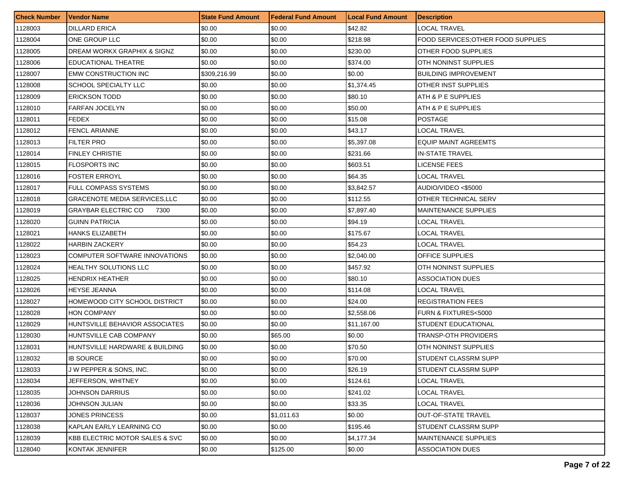| <b>Check Number</b> | <b>Vendor Name</b>                 | <b>State Fund Amount</b> | l Federal Fund Amount | <b>Local Fund Amount</b> | <b>Description</b>                 |
|---------------------|------------------------------------|--------------------------|-----------------------|--------------------------|------------------------------------|
| 1128003             | <b>DILLARD ERICA</b>               | \$0.00                   | \$0.00                | \$42.82                  | LOCAL TRAVEL                       |
| 1128004             | ONE GROUP LLC                      | \$0.00                   | \$0.00                | \$218.98                 | FOOD SERVICES: OTHER FOOD SUPPLIES |
| 1128005             | DREAM WORKX GRAPHIX & SIGNZ        | \$0.00                   | \$0.00                | \$230.00                 | OTHER FOOD SUPPLIES                |
| 1128006             | <b>EDUCATIONAL THEATRE</b>         | \$0.00                   | \$0.00                | \$374.00                 | OTH NONINST SUPPLIES               |
| 1128007             | EMW CONSTRUCTION INC               | \$309,216.99             | \$0.00                | \$0.00                   | <b>BUILDING IMPROVEMENT</b>        |
| 1128008             | SCHOOL SPECIALTY LLC               | \$0.00                   | \$0.00                | \$1,374.45               | OTHER INST SUPPLIES                |
| 1128009             | <b>ERICKSON TODD</b>               | \$0.00                   | \$0.00                | \$80.10                  | ATH & P E SUPPLIES                 |
| 1128010             | <b>FARFAN JOCELYN</b>              | \$0.00                   | \$0.00                | \$50.00                  | ATH & P E SUPPLIES                 |
| 1128011             | <b>FEDEX</b>                       | \$0.00                   | \$0.00                | \$15.08                  | <b>POSTAGE</b>                     |
| 1128012             | FENCL ARIANNE                      | \$0.00                   | \$0.00                | \$43.17                  | LOCAL TRAVEL                       |
| 1128013             | <b>FILTER PRO</b>                  | \$0.00                   | \$0.00                | \$5,397.08               | <b>EQUIP MAINT AGREEMTS</b>        |
| 1128014             | <b>FINLEY CHRISTIE</b>             | \$0.00                   | \$0.00                | \$231.66                 | <b>IN-STATE TRAVEL</b>             |
| 1128015             | <b>FLOSPORTS INC</b>               | \$0.00                   | \$0.00                | \$603.51                 | LICENSE FEES                       |
| 1128016             | <b>FOSTER ERROYL</b>               | \$0.00                   | \$0.00                | \$64.35                  | LOCAL TRAVEL                       |
| 1128017             | FULL COMPASS SYSTEMS               | \$0.00                   | \$0.00                | \$3,842.57               | AUDIO/VIDEO <\$5000                |
| 1128018             | GRACENOTE MEDIA SERVICES,LLC       | \$0.00                   | \$0.00                | \$112.55                 | OTHER TECHNICAL SERV               |
| 1128019             | <b>GRAYBAR ELECTRIC CO</b><br>7300 | \$0.00                   | \$0.00                | \$7,897.40               | <b>MAINTENANCE SUPPLIES</b>        |
| 1128020             | <b>GUINN PATRICIA</b>              | \$0.00                   | \$0.00                | \$94.19                  | LOCAL TRAVEL                       |
| 1128021             | HANKS ELIZABETH                    | \$0.00                   | \$0.00                | \$175.67                 | LOCAL TRAVEL                       |
| 1128022             | HARBIN ZACKERY                     | \$0.00                   | \$0.00                | \$54.23                  | LOCAL TRAVEL                       |
| 1128023             | COMPUTER SOFTWARE INNOVATIONS      | \$0.00                   | \$0.00                | \$2,040.00               | OFFICE SUPPLIES                    |
| 1128024             | HEALTHY SOLUTIONS LLC              | \$0.00                   | \$0.00                | \$457.92                 | OTH NONINST SUPPLIES               |
| 1128025             | HENDRIX HEATHER                    | \$0.00                   | \$0.00                | \$80.10                  | <b>ASSOCIATION DUES</b>            |
| 1128026             | HEYSE JEANNA                       | \$0.00                   | \$0.00                | \$114.08                 | LOCAL TRAVEL                       |
| 1128027             | HOMEWOOD CITY SCHOOL DISTRICT      | \$0.00                   | \$0.00                | \$24.00                  | <b>REGISTRATION FEES</b>           |
| 1128028             | HON COMPANY                        | \$0.00                   | \$0.00                | \$2,558.06               | <b>FURN &amp; FIXTURES&lt;5000</b> |
| 1128029             | HUNTSVILLE BEHAVIOR ASSOCIATES     | \$0.00                   | \$0.00                | \$11.167.00              | STUDENT EDUCATIONAL                |
| 1128030             | HUNTSVILLE CAB COMPANY             | \$0.00                   | \$65.00               | \$0.00                   | <b>TRANSP-OTH PROVIDERS</b>        |
| 1128031             | HUNTSVILLE HARDWARE & BUILDING     | \$0.00                   | \$0.00                | \$70.50                  | OTH NONINST SUPPLIES               |
| 1128032             | IB SOURCE                          | \$0.00                   | \$0.00                | \$70.00                  | STUDENT CLASSRM SUPP               |
| 1128033             | <b>JW PEPPER &amp; SONS, INC.</b>  | \$0.00                   | \$0.00                | \$26.19                  | <b>STUDENT CLASSRM SUPP</b>        |
| 1128034             | JEFFERSON, WHITNEY                 | \$0.00                   | \$0.00                | \$124.61                 | LOCAL TRAVEL                       |
| 1128035             | JOHNSON DARRIUS                    | \$0.00                   | \$0.00                | \$241.02                 | <b>LOCAL TRAVEL</b>                |
| 1128036             | JOHNSON JULIAN                     | \$0.00                   | \$0.00                | \$33.35                  | LOCAL TRAVEL                       |
| 1128037             | <b>JONES PRINCESS</b>              | \$0.00                   | \$1.011.63            | \$0.00                   | <b>OUT-OF-STATE TRAVEL</b>         |
| 1128038             | KAPLAN EARLY LEARNING CO           | \$0.00                   | \$0.00                | \$195.46                 | STUDENT CLASSRM SUPP               |
| 1128039             | KBB ELECTRIC MOTOR SALES & SVC     | \$0.00                   | \$0.00                | \$4,177.34               | MAINTENANCE SUPPLIES               |
| 1128040             | KONTAK JENNIFER                    | \$0.00                   | \$125.00              | \$0.00                   | <b>ASSOCIATION DUES</b>            |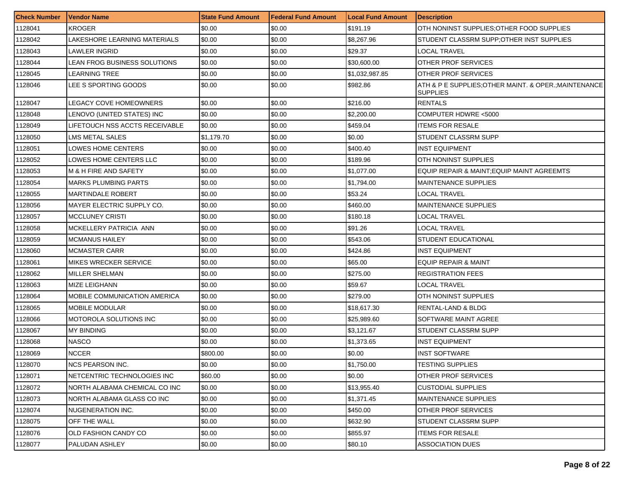| <b>Check Number</b> | <b>Vendor Name</b>             | <b>State Fund Amount</b> | <b>Federal Fund Amount</b> | <b>Local Fund Amount</b> | <b>Description</b>                                                       |
|---------------------|--------------------------------|--------------------------|----------------------------|--------------------------|--------------------------------------------------------------------------|
| 1128041             | KROGER                         | \$0.00                   | \$0.00                     | \$191.19                 | OTH NONINST SUPPLIES; OTHER FOOD SUPPLIES                                |
| 1128042             | LAKESHORE LEARNING MATERIALS   | \$0.00                   | \$0.00                     | \$8,267.96               | STUDENT CLASSRM SUPP;OTHER INST SUPPLIES                                 |
| 1128043             | LAWLER INGRID                  | \$0.00                   | \$0.00                     | \$29.37                  | LOCAL TRAVEL                                                             |
| 1128044             | LEAN FROG BUSINESS SOLUTIONS   | \$0.00                   | \$0.00                     | \$30,600.00              | OTHER PROF SERVICES                                                      |
| 1128045             | LEARNING TREE                  | \$0.00                   | \$0.00                     | \$1,032,987.85           | OTHER PROF SERVICES                                                      |
| 1128046             | LEE S SPORTING GOODS           | \$0.00                   | \$0.00                     | \$982.86                 | ATH & P E SUPPLIES; OTHER MAINT. & OPER.; MAINTENANCE<br><b>SUPPLIES</b> |
| 1128047             | LEGACY COVE HOMEOWNERS         | \$0.00                   | \$0.00                     | \$216.00                 | <b>RENTALS</b>                                                           |
| 1128048             | LENOVO (UNITED STATES) INC     | \$0.00                   | \$0.00                     | \$2,200.00               | COMPUTER HDWRE <5000                                                     |
| 1128049             | LIFETOUCH NSS ACCTS RECEIVABLE | \$0.00                   | \$0.00                     | \$459.04                 | <b>ITEMS FOR RESALE</b>                                                  |
| 1128050             | LMS METAL SALES                | \$1,179.70               | \$0.00                     | \$0.00                   | STUDENT CLASSRM SUPP                                                     |
| 1128051             | LOWES HOME CENTERS             | \$0.00                   | \$0.00                     | \$400.40                 | INST EQUIPMENT                                                           |
| 1128052             | LOWES HOME CENTERS LLC         | \$0.00                   | \$0.00                     | \$189.96                 | OTH NONINST SUPPLIES                                                     |
| 1128053             | M & H FIRE AND SAFETY          | \$0.00                   | \$0.00                     | \$1,077.00               | EQUIP REPAIR & MAINT; EQUIP MAINT AGREEMTS                               |
| 1128054             | MARKS PLUMBING PARTS           | \$0.00                   | \$0.00                     | \$1,794.00               | <b>MAINTENANCE SUPPLIES</b>                                              |
| 1128055             | <b>MARTINDALE ROBERT</b>       | \$0.00                   | \$0.00                     | \$53.24                  | <b>LOCAL TRAVEL</b>                                                      |
| 1128056             | MAYER ELECTRIC SUPPLY CO.      | \$0.00                   | \$0.00                     | \$460.00                 | <b>MAINTENANCE SUPPLIES</b>                                              |
| 1128057             | MCCLUNEY CRISTI                | \$0.00                   | \$0.00                     | \$180.18                 | LOCAL TRAVEL                                                             |
| 1128058             | MCKELLERY PATRICIA ANN         | \$0.00                   | \$0.00                     | \$91.26                  | LOCAL TRAVEL                                                             |
| 1128059             | <b>MCMANUS HAILEY</b>          | \$0.00                   | \$0.00                     | \$543.06                 | <b>STUDENT EDUCATIONAL</b>                                               |
| 1128060             | <b>MCMASTER CARR</b>           | \$0.00                   | \$0.00                     | \$424.86                 | <b>INST EQUIPMENT</b>                                                    |
| 1128061             | <b>MIKES WRECKER SERVICE</b>   | \$0.00                   | \$0.00                     | \$65.00                  | EQUIP REPAIR & MAINT                                                     |
| 1128062             | MILLER SHELMAN                 | \$0.00                   | \$0.00                     | \$275.00                 | <b>REGISTRATION FEES</b>                                                 |
| 1128063             | MIZE LEIGHANN                  | \$0.00                   | \$0.00                     | \$59.67                  | LOCAL TRAVEL                                                             |
| 1128064             | MOBILE COMMUNICATION AMERICA   | \$0.00                   | \$0.00                     | \$279.00                 | OTH NONINST SUPPLIES                                                     |
| 1128065             | <b>MOBILE MODULAR</b>          | \$0.00                   | \$0.00                     | \$18,617.30              | <b>RENTAL-LAND &amp; BLDG</b>                                            |
| 1128066             | MOTOROLA SOLUTIONS INC         | \$0.00                   | \$0.00                     | \$25,989.60              | SOFTWARE MAINT AGREE                                                     |
| 1128067             | MY BINDING                     | \$0.00                   | \$0.00                     | \$3,121.67               | <b>STUDENT CLASSRM SUPP</b>                                              |
| 1128068             | <b>NASCO</b>                   | \$0.00                   | \$0.00                     | \$1,373.65               | <b>INST EQUIPMENT</b>                                                    |
| 1128069             | NCCER                          | \$800.00                 | \$0.00                     | \$0.00                   | INST SOFTWARE                                                            |
| 1128070             | NCS PEARSON INC.               | \$0.00                   | \$0.00                     | \$1,750.00               | <b>TESTING SUPPLIES</b>                                                  |
| 1128071             | NETCENTRIC TECHNOLOGIES INC    | \$60.00                  | \$0.00                     | \$0.00                   | OTHER PROF SERVICES                                                      |
| 1128072             | NORTH ALABAMA CHEMICAL CO INC  | \$0.00                   | \$0.00                     | \$13,955.40              | <b>CUSTODIAL SUPPLIES</b>                                                |
| 1128073             | NORTH ALABAMA GLASS CO INC     | \$0.00                   | \$0.00                     | \$1,371.45               | <b>MAINTENANCE SUPPLIES</b>                                              |
| 1128074             | NUGENERATION INC.              | \$0.00                   | \$0.00                     | \$450.00                 | <b>OTHER PROF SERVICES</b>                                               |
| 1128075             | OFF THE WALL                   | \$0.00                   | \$0.00                     | \$632.90                 | <b>STUDENT CLASSRM SUPP</b>                                              |
| 1128076             | OLD FASHION CANDY CO           | \$0.00                   | \$0.00                     | \$855.97                 | <b>ITEMS FOR RESALE</b>                                                  |
| 1128077             | PALUDAN ASHLEY                 | \$0.00                   | \$0.00                     | \$80.10                  | ASSOCIATION DUES                                                         |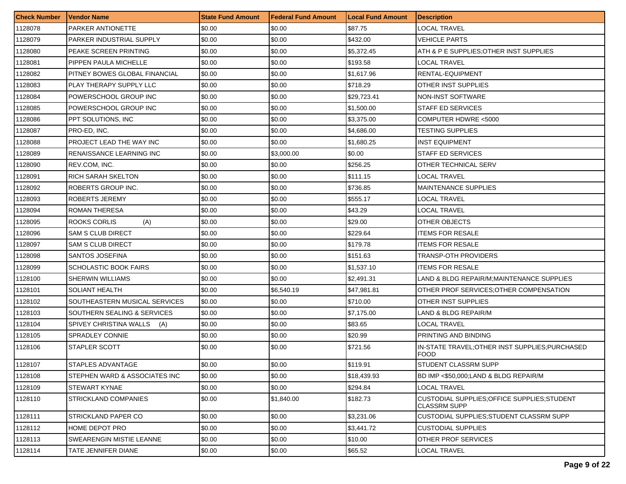| <b>Check Number</b> | <b>Vendor Name</b>            | <b>State Fund Amount</b> | Federal Fund Amount | <b>Local Fund Amount</b> | <b>Description</b>                                                   |
|---------------------|-------------------------------|--------------------------|---------------------|--------------------------|----------------------------------------------------------------------|
| 1128078             | PARKER ANTIONETTE             | \$0.00                   | \$0.00              | \$87.75                  | LOCAL TRAVEL                                                         |
| 1128079             | PARKER INDUSTRIAL SUPPLY      | \$0.00                   | \$0.00              | \$432.00                 | VEHICLE PARTS                                                        |
| 1128080             | PEAKE SCREEN PRINTING         | \$0.00                   | \$0.00              | \$5,372.45               | ATH & P E SUPPLIES:OTHER INST SUPPLIES                               |
| 1128081             | PIPPEN PAULA MICHELLE         | \$0.00                   | \$0.00              | \$193.58                 | LOCAL TRAVEL                                                         |
| 1128082             | PITNEY BOWES GLOBAL FINANCIAL | \$0.00                   | \$0.00              | \$1,617.96               | RENTAL-EQUIPMENT                                                     |
| 1128083             | PLAY THERAPY SUPPLY LLC       | \$0.00                   | \$0.00              | \$718.29                 | OTHER INST SUPPLIES                                                  |
| 1128084             | POWERSCHOOL GROUP INC         | \$0.00                   | \$0.00              | \$29,723.41              | <b>NON-INST SOFTWARE</b>                                             |
| 1128085             | POWERSCHOOL GROUP INC         | \$0.00                   | \$0.00              | \$1,500.00               | <b>STAFF ED SERVICES</b>                                             |
| 1128086             | PPT SOLUTIONS, INC            | \$0.00                   | \$0.00              | \$3,375.00               | COMPUTER HDWRE <5000                                                 |
| 1128087             | PRO-ED, INC.                  | \$0.00                   | \$0.00              | \$4,686.00               | TESTING SUPPLIES                                                     |
| 1128088             | PROJECT LEAD THE WAY INC      | \$0.00                   | \$0.00              | \$1,680.25               | <b>INST EQUIPMENT</b>                                                |
| 1128089             | RENAISSANCE LEARNING INC      | \$0.00                   | \$3,000.00          | \$0.00                   | STAFF ED SERVICES                                                    |
| 1128090             | REV.COM, INC.                 | \$0.00                   | \$0.00              | \$256.25                 | OTHER TECHNICAL SERV                                                 |
| 1128091             | <b>RICH SARAH SKELTON</b>     | \$0.00                   | \$0.00              | \$111.15                 | <b>LOCAL TRAVEL</b>                                                  |
| 1128092             | ROBERTS GROUP INC.            | \$0.00                   | \$0.00              | \$736.85                 | <b>MAINTENANCE SUPPLIES</b>                                          |
| 1128093             | <b>ROBERTS JEREMY</b>         | \$0.00                   | \$0.00              | \$555.17                 | <b>LOCAL TRAVEL</b>                                                  |
| 1128094             | <b>ROMAN THERESA</b>          | \$0.00                   | \$0.00              | \$43.29                  | LOCAL TRAVEL                                                         |
| 1128095             | ROOKS CORLIS<br>(A)           | \$0.00                   | \$0.00              | \$29.00                  | OTHER OBJECTS                                                        |
| 1128096             | <b>SAM S CLUB DIRECT</b>      | \$0.00                   | \$0.00              | \$229.64                 | <b>ITEMS FOR RESALE</b>                                              |
| 1128097             | SAM S CLUB DIRECT             | \$0.00                   | \$0.00              | \$179.78                 | <b>ITEMS FOR RESALE</b>                                              |
| 1128098             | SANTOS JOSEFINA               | \$0.00                   | \$0.00              | \$151.63                 | TRANSP-OTH PROVIDERS                                                 |
| 1128099             | SCHOLASTIC BOOK FAIRS         | \$0.00                   | \$0.00              | \$1,537.10               | <b>ITEMS FOR RESALE</b>                                              |
| 1128100             | <b>SHERWIN WILLIAMS</b>       | \$0.00                   | \$0.00              | \$2,491.31               | LAND & BLDG REPAIR/M;MAINTENANCE SUPPLIES                            |
| 1128101             | <b>SOLIANT HEALTH</b>         | \$0.00                   | \$6,540.19          | \$47,981.81              | OTHER PROF SERVICES; OTHER COMPENSATION                              |
| 1128102             | SOUTHEASTERN MUSICAL SERVICES | \$0.00                   | \$0.00              | \$710.00                 | OTHER INST SUPPLIES                                                  |
| 1128103             | SOUTHERN SEALING & SERVICES   | \$0.00                   | \$0.00              | \$7,175.00               | LAND & BLDG REPAIR/M                                                 |
| 1128104             | SPIVEY CHRISTINA WALLS<br>(A) | \$0.00                   | \$0.00              | \$83.65                  | LOCAL TRAVEL                                                         |
| 1128105             | <b>SPRADLEY CONNIE</b>        | \$0.00                   | \$0.00              | \$20.99                  | PRINTING AND BINDING                                                 |
| 1128106             | STAPLER SCOTT                 | \$0.00                   | \$0.00              | \$721.56                 | IN-STATE TRAVEL; OTHER INST SUPPLIES; PURCHASED<br><b>FOOD</b>       |
| 1128107             | STAPLES ADVANTAGE             | \$0.00                   | \$0.00              | \$119.91                 | STUDENT CLASSRM SUPP                                                 |
| 1128108             | STEPHEN WARD & ASSOCIATES INC | \$0.00                   | \$0.00              | \$18,439.93              | BD IMP <\$50.000:LAND & BLDG REPAIR/M                                |
| 1128109             | <b>STEWART KYNAE</b>          | \$0.00                   | \$0.00              | \$294.84                 | <b>LOCAL TRAVEL</b>                                                  |
| 1128110             | <b>STRICKLAND COMPANIES</b>   | \$0.00                   | \$1,840.00          | \$182.73                 | CUSTODIAL SUPPLIES; OF FICE SUPPLIES; STUDENT<br><b>CLASSRM SUPP</b> |
| 1128111             | <b>STRICKLAND PAPER CO</b>    | \$0.00                   | \$0.00              | \$3,231.06               | CUSTODIAL SUPPLIES; STUDENT CLASSRM SUPP                             |
| 1128112             | HOME DEPOT PRO                | \$0.00                   | \$0.00              | \$3,441.72               | CUSTODIAL SUPPLIES                                                   |
| 1128113             | SWEARENGIN MISTIE LEANNE      | \$0.00                   | \$0.00              | \$10.00                  | OTHER PROF SERVICES                                                  |
| 1128114             | TATE JENNIFER DIANE           | \$0.00                   | \$0.00              | \$65.52                  | <b>LOCAL TRAVEL</b>                                                  |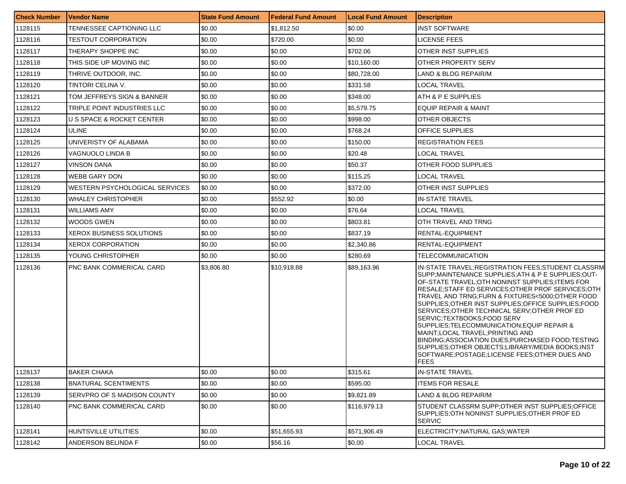| <b>Check Number</b> | Vendor Name                           | <b>State Fund Amount</b> | <b>Federal Fund Amount</b> | <b>Local Fund Amount</b> | <b>Description</b>                                                                                                                                                                                                                                                                                                                                                                                                                                                                                                                                                                                                                                            |
|---------------------|---------------------------------------|--------------------------|----------------------------|--------------------------|---------------------------------------------------------------------------------------------------------------------------------------------------------------------------------------------------------------------------------------------------------------------------------------------------------------------------------------------------------------------------------------------------------------------------------------------------------------------------------------------------------------------------------------------------------------------------------------------------------------------------------------------------------------|
| 1128115             | TENNESSEE CAPTIONING LLC              | \$0.00                   | \$1,812.50                 | \$0.00                   | INST SOFTWARE                                                                                                                                                                                                                                                                                                                                                                                                                                                                                                                                                                                                                                                 |
| 1128116             | <b>TESTOUT CORPORATION</b>            | \$0.00                   | \$720.00                   | \$0.00                   | LICENSE FEES                                                                                                                                                                                                                                                                                                                                                                                                                                                                                                                                                                                                                                                  |
| 1128117             | THERAPY SHOPPE INC                    | \$0.00                   | \$0.00                     | \$702.06                 | <b>OTHER INST SUPPLIES</b>                                                                                                                                                                                                                                                                                                                                                                                                                                                                                                                                                                                                                                    |
| 1128118             | THIS SIDE UP MOVING INC               | \$0.00                   | \$0.00                     | \$10,160.00              | OTHER PROPERTY SERV                                                                                                                                                                                                                                                                                                                                                                                                                                                                                                                                                                                                                                           |
| 1128119             | THRIVE OUTDOOR, INC.                  | \$0.00                   | \$0.00                     | \$80,728.00              | LAND & BLDG REPAIR/M                                                                                                                                                                                                                                                                                                                                                                                                                                                                                                                                                                                                                                          |
| 1128120             | TINTORI CELINA V.                     | \$0.00                   | \$0.00                     | \$331.58                 | <b>LOCAL TRAVEL</b>                                                                                                                                                                                                                                                                                                                                                                                                                                                                                                                                                                                                                                           |
| 1128121             | TOM JEFFREYS SIGN & BANNER            | \$0.00                   | \$0.00                     | \$348.00                 | ATH & P E SUPPLIES                                                                                                                                                                                                                                                                                                                                                                                                                                                                                                                                                                                                                                            |
| 1128122             | TRIPLE POINT INDUSTRIES LLC           | \$0.00                   | \$0.00                     | \$5,579.75               | EQUIP REPAIR & MAINT                                                                                                                                                                                                                                                                                                                                                                                                                                                                                                                                                                                                                                          |
| 1128123             | IU S SPACE & ROCKET CENTER            | \$0.00                   | \$0.00                     | \$998.00                 | OTHER OBJECTS                                                                                                                                                                                                                                                                                                                                                                                                                                                                                                                                                                                                                                                 |
| 1128124             | <b>ULINE</b>                          | \$0.00                   | \$0.00                     | \$768.24                 | <b>OFFICE SUPPLIES</b>                                                                                                                                                                                                                                                                                                                                                                                                                                                                                                                                                                                                                                        |
| 1128125             | UNIVERISTY OF ALABAMA                 | \$0.00                   | \$0.00                     | \$150.00                 | <b>REGISTRATION FEES</b>                                                                                                                                                                                                                                                                                                                                                                                                                                                                                                                                                                                                                                      |
| 1128126             | VAGNUOLO LINDA B                      | \$0.00                   | \$0.00                     | \$20.48                  | LOCAL TRAVEL                                                                                                                                                                                                                                                                                                                                                                                                                                                                                                                                                                                                                                                  |
| 1128127             | <b>VINSON DANA</b>                    | \$0.00                   | \$0.00                     | \$50.37                  | OTHER FOOD SUPPLIES                                                                                                                                                                                                                                                                                                                                                                                                                                                                                                                                                                                                                                           |
| 1128128             | <b>WEBB GARY DON</b>                  | \$0.00                   | \$0.00                     | \$115.25                 | LOCAL TRAVEL                                                                                                                                                                                                                                                                                                                                                                                                                                                                                                                                                                                                                                                  |
| 1128129             | <b>WESTERN PSYCHOLOGICAL SERVICES</b> | \$0.00                   | \$0.00                     | \$372.00                 | OTHER INST SUPPLIES                                                                                                                                                                                                                                                                                                                                                                                                                                                                                                                                                                                                                                           |
| 1128130             | <b>WHALEY CHRISTOPHER</b>             | \$0.00                   | \$552.92                   | \$0.00                   | <b>IN-STATE TRAVEL</b>                                                                                                                                                                                                                                                                                                                                                                                                                                                                                                                                                                                                                                        |
| 1128131             | <b>WILLIAMS AMY</b>                   | \$0.00                   | \$0.00                     | \$76.64                  | LOCAL TRAVEL                                                                                                                                                                                                                                                                                                                                                                                                                                                                                                                                                                                                                                                  |
| 1128132             | WOODS GWEN                            | \$0.00                   | \$0.00                     | \$803.81                 | OTH TRAVEL AND TRNG                                                                                                                                                                                                                                                                                                                                                                                                                                                                                                                                                                                                                                           |
| 1128133             | <b>XEROX BUSINESS SOLUTIONS</b>       | \$0.00                   | \$0.00                     | \$837.19                 | <b>RENTAL-EQUIPMENT</b>                                                                                                                                                                                                                                                                                                                                                                                                                                                                                                                                                                                                                                       |
| 1128134             | <b>XEROX CORPORATION</b>              | \$0.00                   | \$0.00                     | \$2,340.86               | RENTAL-EQUIPMENT                                                                                                                                                                                                                                                                                                                                                                                                                                                                                                                                                                                                                                              |
| 1128135             | YOUNG CHRISTOPHER                     | \$0.00                   | \$0.00                     | \$280.69                 | TELECOMMUNICATION                                                                                                                                                                                                                                                                                                                                                                                                                                                                                                                                                                                                                                             |
| 1128136             | <b>PNC BANK COMMERICAL CARD</b>       | \$3,806.80               | \$10,918.88                | \$89,163.96              | IN-STATE TRAVEL; REGISTRATION FEES; STUDENT CLASSRM<br>SUPP:MAINTENANCE SUPPLIES:ATH & P E SUPPLIES:OUT-<br>OF-STATE TRAVEL:OTH NONINST SUPPLIES:ITEMS FOR<br>RESALE:STAFF ED SERVICES:OTHER PROF SERVICES:OTH<br>TRAVEL AND TRNG:FURN & FIXTURES<5000:OTHER FOOD<br>SUPPLIES;OTHER INST SUPPLIES;OFFICE SUPPLIES;FOOD<br>SERVICES: OTHER TECHNICAL SERV: OTHER PROF ED<br>SERVIC;TEXTBOOKS;FOOD SERV<br>SUPPLIES:TELECOMMUNICATION:EQUIP REPAIR &<br>MAINT;LOCAL TRAVEL;PRINTING AND<br>BINDING:ASSOCIATION DUES:PURCHASED FOOD:TESTING<br>SUPPLIES: OTHER OBJECTS: LIBRARY/MEDIA BOOKS: INST<br>SOFTWARE;POSTAGE;LICENSE FEES;OTHER DUES AND<br><b>FEES</b> |
| 1128137             | <b>BAKER CHAKA</b>                    | \$0.00                   | \$0.00                     | \$315.61                 | <b>IN-STATE TRAVEL</b>                                                                                                                                                                                                                                                                                                                                                                                                                                                                                                                                                                                                                                        |
| 1128138             | <b>BNATURAL SCENTIMENTS</b>           | \$0.00                   | \$0.00                     | \$595.00                 | <b>ITEMS FOR RESALE</b>                                                                                                                                                                                                                                                                                                                                                                                                                                                                                                                                                                                                                                       |
| 1128139             | SERVPRO OF S MADISON COUNTY           | \$0.00                   | \$0.00                     | \$9,821.89               | LAND & BLDG REPAIR/M                                                                                                                                                                                                                                                                                                                                                                                                                                                                                                                                                                                                                                          |
| 1128140             | <b>PNC BANK COMMERICAL CARD</b>       | \$0.00                   | \$0.00                     | \$116,979.13             | STUDENT CLASSRM SUPP:OTHER INST SUPPLIES:OFFICE<br>SUPPLIES:OTH NONINST SUPPLIES:OTHER PROF ED<br><b>SERVIC</b>                                                                                                                                                                                                                                                                                                                                                                                                                                                                                                                                               |
| 1128141             | HUNTSVILLE UTILITIES                  | \$0.00                   | \$51,655.93                | \$571,906.49             | ELECTRICITY; NATURAL GAS; WATER                                                                                                                                                                                                                                                                                                                                                                                                                                                                                                                                                                                                                               |
| 1128142             | ANDERSON BELINDA F                    | \$0.00                   | \$56.16                    | \$0.00                   | LOCAL TRAVEL                                                                                                                                                                                                                                                                                                                                                                                                                                                                                                                                                                                                                                                  |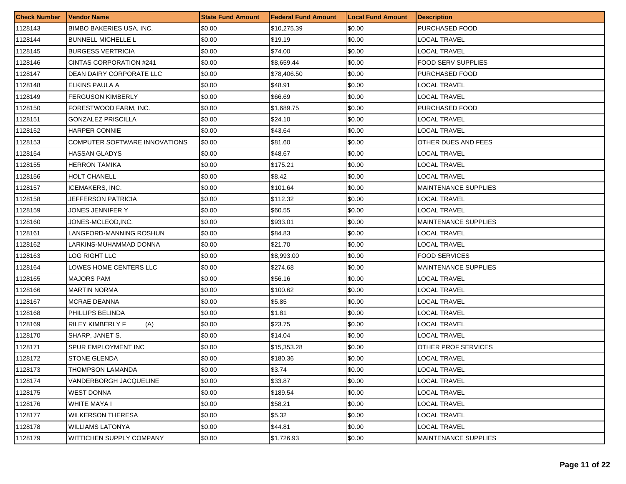| <b>Check Number</b> | <b>Vendor Name</b>              | <b>State Fund Amount</b> | <b>Federal Fund Amount</b> | <b>Local Fund Amount</b> | <b>Description</b>          |
|---------------------|---------------------------------|--------------------------|----------------------------|--------------------------|-----------------------------|
| 1128143             | <b>BIMBO BAKERIES USA, INC.</b> | \$0.00                   | \$10,275.39                | \$0.00                   | PURCHASED FOOD              |
| 1128144             | <b>BUNNELL MICHELLE L</b>       | \$0.00                   | \$19.19                    | \$0.00                   | LOCAL TRAVEL                |
| 1128145             | <b>BURGESS VERTRICIA</b>        | \$0.00                   | \$74.00                    | \$0.00                   | LOCAL TRAVEL                |
| 1128146             | CINTAS CORPORATION #241         | \$0.00                   | \$8,659.44                 | \$0.00                   | <b>FOOD SERV SUPPLIES</b>   |
| 1128147             | DEAN DAIRY CORPORATE LLC        | \$0.00                   | \$78,406.50                | \$0.00                   | PURCHASED FOOD              |
| 1128148             | ELKINS PAULA A                  | \$0.00                   | \$48.91                    | \$0.00                   | LOCAL TRAVEL                |
| 1128149             | <b>FERGUSON KIMBERLY</b>        | \$0.00                   | \$66.69                    | \$0.00                   | LOCAL TRAVEL                |
| 1128150             | FORESTWOOD FARM. INC.           | \$0.00                   | \$1,689.75                 | \$0.00                   | PURCHASED FOOD              |
| 1128151             | <b>GONZALEZ PRISCILLA</b>       | \$0.00                   | \$24.10                    | \$0.00                   | LOCAL TRAVEL                |
| 1128152             | HARPER CONNIE                   | \$0.00                   | \$43.64                    | \$0.00                   | LOCAL TRAVEL                |
| 1128153             | COMPUTER SOFTWARE INNOVATIONS   | \$0.00                   | \$81.60                    | \$0.00                   | <b>OTHER DUES AND FEES</b>  |
| 1128154             | HASSAN GLADYS                   | \$0.00                   | \$48.67                    | \$0.00                   | LOCAL TRAVEL                |
| 1128155             | <b>HERRON TAMIKA</b>            | \$0.00                   | \$175.21                   | \$0.00                   | LOCAL TRAVEL                |
| 1128156             | <b>HOLT CHANELL</b>             | \$0.00                   | \$8.42                     | \$0.00                   | <b>LOCAL TRAVEL</b>         |
| 1128157             | <b>ICEMAKERS, INC.</b>          | \$0.00                   | \$101.64                   | \$0.00                   | <b>MAINTENANCE SUPPLIES</b> |
| 1128158             | JEFFERSON PATRICIA              | \$0.00                   | \$112.32                   | \$0.00                   | LOCAL TRAVEL                |
| 1128159             | JONES JENNIFER Y                | \$0.00                   | \$60.55                    | \$0.00                   | LOCAL TRAVEL                |
| 1128160             | JONES-MCLEOD,INC.               | \$0.00                   | \$933.01                   | \$0.00                   | <b>MAINTENANCE SUPPLIES</b> |
| 1128161             | LANGFORD-MANNING ROSHUN         | \$0.00                   | \$84.83                    | \$0.00                   | LOCAL TRAVEL                |
| 1128162             | LARKINS-MUHAMMAD DONNA          | \$0.00                   | \$21.70                    | \$0.00                   | LOCAL TRAVEL                |
| 1128163             | LOG RIGHT LLC                   | \$0.00                   | \$8,993.00                 | \$0.00                   | FOOD SERVICES               |
| 1128164             | LOWES HOME CENTERS LLC          | \$0.00                   | \$274.68                   | \$0.00                   | <b>MAINTENANCE SUPPLIES</b> |
| 1128165             | <b>MAJORS PAM</b>               | \$0.00                   | \$56.16                    | \$0.00                   | LOCAL TRAVEL                |
| 1128166             | <b>MARTIN NORMA</b>             | \$0.00                   | \$100.62                   | \$0.00                   | LOCAL TRAVEL                |
| 1128167             | MCRAE DEANNA                    | \$0.00                   | \$5.85                     | \$0.00                   | LOCAL TRAVEL                |
| 1128168             | PHILLIPS BELINDA                | \$0.00                   | \$1.81                     | \$0.00                   | LOCAL TRAVEL                |
| 1128169             | <b>RILEY KIMBERLY F</b><br>(A)  | \$0.00                   | \$23.75                    | \$0.00                   | LOCAL TRAVEL                |
| 1128170             | SHARP, JANET S.                 | \$0.00                   | \$14.04                    | \$0.00                   | LOCAL TRAVEL                |
| 1128171             | SPUR EMPLOYMENT INC             | \$0.00                   | \$15,353.28                | \$0.00                   | OTHER PROF SERVICES         |
| 1128172             | <b>STONE GLENDA</b>             | \$0.00                   | \$180.36                   | \$0.00                   | LOCAL TRAVEL                |
| 1128173             | <b>THOMPSON LAMANDA</b>         | \$0.00                   | \$3.74                     | \$0.00                   | LOCAL TRAVEL                |
| 1128174             | VANDERBORGH JACQUELINE          | \$0.00                   | \$33.87                    | \$0.00                   | <b>LOCAL TRAVEL</b>         |
| 1128175             | <b>WEST DONNA</b>               | \$0.00                   | \$189.54                   | \$0.00                   | <b>LOCAL TRAVEL</b>         |
| 1128176             | <b>WHITE MAYA I</b>             | \$0.00                   | \$58.21                    | \$0.00                   | LOCAL TRAVEL                |
| 1128177             | <b>WILKERSON THERESA</b>        | \$0.00                   | \$5.32                     | \$0.00                   | LOCAL TRAVEL                |
| 1128178             | <b>WILLIAMS LATONYA</b>         | \$0.00                   | \$44.81                    | \$0.00                   | LOCAL TRAVEL                |
| 1128179             | WITTICHEN SUPPLY COMPANY        | \$0.00                   | \$1,726.93                 | \$0.00                   | MAINTENANCE SUPPLIES        |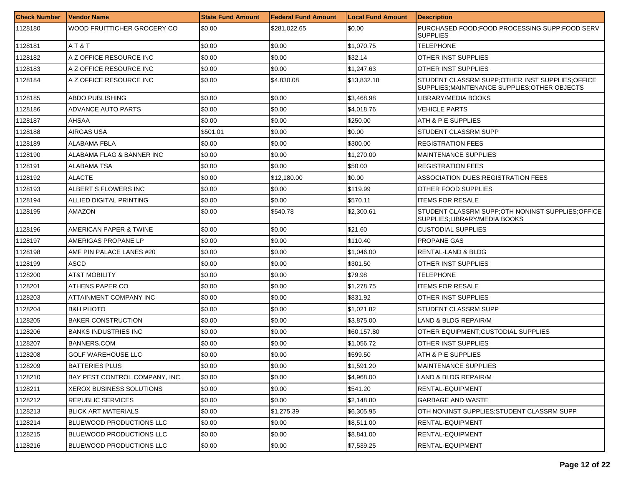| <b>Check Number</b> | l Vendor Name                   | <b>State Fund Amount</b> | Federal Fund Amount | <b>Local Fund Amount</b> | <b>Description</b>                                                                                 |
|---------------------|---------------------------------|--------------------------|---------------------|--------------------------|----------------------------------------------------------------------------------------------------|
| 1128180             | WOOD FRUITTICHER GROCERY CO     | \$0.00                   | \$281,022.65        | \$0.00                   | PURCHASED FOOD; FOOD PROCESSING SUPP; FOOD SERV<br><b>SUPPLIES</b>                                 |
| 1128181             | AT&T                            | \$0.00                   | \$0.00              | \$1,070.75               | <b>TELEPHONE</b>                                                                                   |
| 1128182             | A Z OFFICE RESOURCE INC         | \$0.00                   | \$0.00              | \$32.14                  | OTHER INST SUPPLIES                                                                                |
| 1128183             | A Z OFFICE RESOURCE INC         | \$0.00                   | \$0.00              | \$1,247.63               | OTHER INST SUPPLIES                                                                                |
| 1128184             | A Z OFFICE RESOURCE INC         | \$0.00                   | \$4,830.08          | \$13,832.18              | STUDENT CLASSRM SUPP; OTHER INST SUPPLIES; OFFICE<br>SUPPLIES; MAINTENANCE SUPPLIES; OTHER OBJECTS |
| 1128185             | <b>ABDO PUBLISHING</b>          | \$0.00                   | \$0.00              | \$3,468.98               | LIBRARY/MEDIA BOOKS                                                                                |
| 1128186             | ADVANCE AUTO PARTS              | \$0.00                   | \$0.00              | \$4.018.76               | <b>VEHICLE PARTS</b>                                                                               |
| 1128187             | AHSAA                           | \$0.00                   | \$0.00              | \$250.00                 | ATH & P E SUPPLIES                                                                                 |
| 1128188             | AIRGAS USA                      | \$501.01                 | \$0.00              | \$0.00                   | STUDENT CLASSRM SUPP                                                                               |
| 1128189             | ALABAMA FBLA                    | \$0.00                   | \$0.00              | \$300.00                 | <b>REGISTRATION FEES</b>                                                                           |
| 1128190             | ALABAMA FLAG & BANNER INC       | \$0.00                   | \$0.00              | \$1,270.00               | <b>MAINTENANCE SUPPLIES</b>                                                                        |
| 1128191             | IALABAMA TSA                    | \$0.00                   | \$0.00              | \$50.00                  | <b>REGISTRATION FEES</b>                                                                           |
| 1128192             | <b>ALACTE</b>                   | \$0.00                   | \$12,180.00         | \$0.00                   | ASSOCIATION DUES:REGISTRATION FEES                                                                 |
| 1128193             | ALBERT S FLOWERS INC            | \$0.00                   | \$0.00              | \$119.99                 | OTHER FOOD SUPPLIES                                                                                |
| 1128194             | ALLIED DIGITAL PRINTING         | \$0.00                   | \$0.00              | \$570.11                 | <b>ITEMS FOR RESALE</b>                                                                            |
| 1128195             | AMAZON                          | \$0.00                   | \$540.78            | \$2,300.61               | STUDENT CLASSRM SUPP; OTH NONINST SUPPLIES; OFFICE<br>SUPPLIES;LIBRARY/MEDIA BOOKS                 |
| 1128196             | AMERICAN PAPER & TWINE          | \$0.00                   | \$0.00              | \$21.60                  | CUSTODIAL SUPPLIES                                                                                 |
| 1128197             | AMERIGAS PROPANE LP             | \$0.00                   | \$0.00              | \$110.40                 | PROPANE GAS                                                                                        |
| 1128198             | AMF PIN PALACE LANES #20        | \$0.00                   | \$0.00              | \$1,046.00               | RENTAL-LAND & BLDG                                                                                 |
| 1128199             | ASCD                            | \$0.00                   | \$0.00              | \$301.50                 | OTHER INST SUPPLIES                                                                                |
| 1128200             | <b>AT&amp;T MOBILITY</b>        | \$0.00                   | \$0.00              | \$79.98                  | TELEPHONE                                                                                          |
| 1128201             | ATHENS PAPER CO                 | \$0.00                   | \$0.00              | \$1,278.75               | ITEMS FOR RESALE                                                                                   |
| 1128203             | ATTAINMENT COMPANY INC          | \$0.00                   | \$0.00              | \$831.92                 | OTHER INST SUPPLIES                                                                                |
| 1128204             | IB&H PHOTO                      | \$0.00                   | \$0.00              | \$1,021.82               | STUDENT CLASSRM SUPP                                                                               |
| 1128205             | <b>BAKER CONSTRUCTION</b>       | \$0.00                   | \$0.00              | \$3,875.00               | LAND & BLDG REPAIR/M                                                                               |
| 1128206             | <b>BANKS INDUSTRIES INC</b>     | \$0.00                   | \$0.00              | \$60,157.80              | OTHER EQUIPMENT: CUSTODIAL SUPPLIES                                                                |
| 1128207             | BANNERS.COM                     | \$0.00                   | \$0.00              | \$1,056.72               | OTHER INST SUPPLIES                                                                                |
| 1128208             | <b>GOLF WAREHOUSE LLC</b>       | \$0.00                   | \$0.00              | \$599.50                 | ATH & P E SUPPLIES                                                                                 |
| 1128209             | <b>BATTERIES PLUS</b>           | \$0.00                   | \$0.00              | \$1,591.20               | MAINTENANCE SUPPLIES                                                                               |
| 1128210             | BAY PEST CONTROL COMPANY, INC.  | \$0.00                   | \$0.00              | \$4,968.00               | LAND & BLDG REPAIR/M                                                                               |
| 1128211             | <b>XEROX BUSINESS SOLUTIONS</b> | \$0.00                   | \$0.00              | \$541.20                 | RENTAL-EQUIPMENT                                                                                   |
| 1128212             | REPUBLIC SERVICES               | \$0.00                   | \$0.00              | \$2,148.80               | GARBAGE AND WASTE                                                                                  |
| 1128213             | <b>BLICK ART MATERIALS</b>      | \$0.00                   | \$1,275.39          | \$6,305.95               | OTH NONINST SUPPLIES: STUDENT CLASSRM SUPP                                                         |
| 1128214             | BLUEWOOD PRODUCTIONS LLC        | \$0.00                   | \$0.00              | \$8,511.00               | RENTAL-EQUIPMENT                                                                                   |
| 1128215             | BLUEWOOD PRODUCTIONS LLC        | \$0.00                   | \$0.00              | \$8,841.00               | RENTAL-EQUIPMENT                                                                                   |
| 1128216             | <b>BLUEWOOD PRODUCTIONS LLC</b> | \$0.00                   | \$0.00              | \$7,539.25               | RENTAL-EQUIPMENT                                                                                   |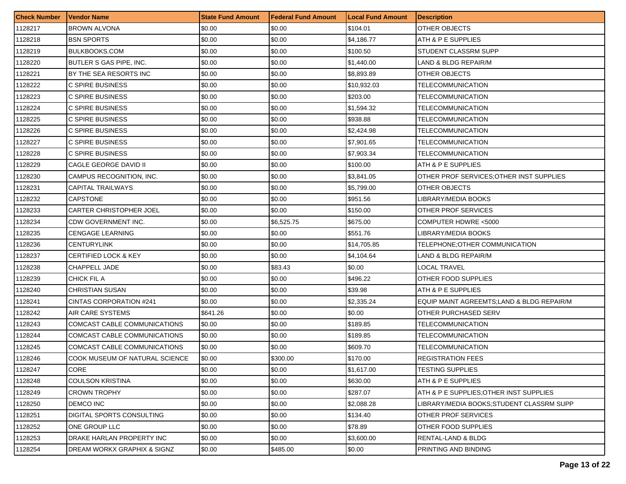| <b>Check Number</b> | <b>Vendor Name</b>                     | <b>State Fund Amount</b> | <b>Federal Fund Amount</b> | <b>Local Fund Amount</b> | <b>Description</b>                         |
|---------------------|----------------------------------------|--------------------------|----------------------------|--------------------------|--------------------------------------------|
| 1128217             | <b>BROWN ALVONA</b>                    | \$0.00                   | \$0.00                     | \$104.01                 | OTHER OBJECTS                              |
| 1128218             | <b>BSN SPORTS</b>                      | \$0.00                   | \$0.00                     | \$4,186.77               | ATH & P E SUPPLIES                         |
| 1128219             | <b>BULKBOOKS.COM</b>                   | \$0.00                   | \$0.00                     | \$100.50                 | STUDENT CLASSRM SUPP                       |
| 1128220             | BUTLER S GAS PIPE, INC.                | \$0.00                   | \$0.00                     | \$1,440.00               | LAND & BLDG REPAIR/M                       |
| 1128221             | BY THE SEA RESORTS INC                 | \$0.00                   | \$0.00                     | \$8,893.89               | OTHER OBJECTS                              |
| 1128222             | C SPIRE BUSINESS                       | \$0.00                   | \$0.00                     | \$10,932.03              | TELECOMMUNICATION                          |
| 1128223             | C SPIRE BUSINESS                       | \$0.00                   | \$0.00                     | \$203.00                 | TELECOMMUNICATION                          |
| 1128224             | C SPIRE BUSINESS                       | \$0.00                   | \$0.00                     | \$1.594.32               | TELECOMMUNICATION                          |
| 1128225             | C SPIRE BUSINESS                       | \$0.00                   | \$0.00                     | \$938.88                 | TELECOMMUNICATION                          |
| 1128226             | C SPIRE BUSINESS                       | \$0.00                   | \$0.00                     | \$2,424.98               | TELECOMMUNICATION                          |
| 1128227             | C SPIRE BUSINESS                       | \$0.00                   | \$0.00                     | \$7,901.65               | TELECOMMUNICATION                          |
| 1128228             | C SPIRE BUSINESS                       | \$0.00                   | \$0.00                     | \$7,903.34               | TELECOMMUNICATION                          |
| 1128229             | CAGLE GEORGE DAVID II                  | \$0.00                   | \$0.00                     | \$100.00                 | ATH & P E SUPPLIES                         |
| 1128230             | CAMPUS RECOGNITION, INC.               | \$0.00                   | \$0.00                     | \$3,841.05               | OTHER PROF SERVICES; OTHER INST SUPPLIES   |
| 1128231             | <b>CAPITAL TRAILWAYS</b>               | \$0.00                   | \$0.00                     | \$5,799.00               | OTHER OBJECTS                              |
| 1128232             | <b>CAPSTONE</b>                        | \$0.00                   | \$0.00                     | \$951.56                 | LIBRARY/MEDIA BOOKS                        |
| 1128233             | <b>CARTER CHRISTOPHER JOEL</b>         | \$0.00                   | \$0.00                     | \$150.00                 | OTHER PROF SERVICES                        |
| 1128234             | <b>CDW GOVERNMENT INC.</b>             | \$0.00                   | \$6,525.75                 | \$675.00                 | COMPUTER HDWRE <5000                       |
| 1128235             | <b>CENGAGE LEARNING</b>                | \$0.00                   | \$0.00                     | \$551.76                 | LIBRARY/MEDIA BOOKS                        |
| 1128236             | CENTURYLINK                            | \$0.00                   | \$0.00                     | \$14,705.85              | TELEPHONE:OTHER COMMUNICATION              |
| 1128237             | <b>CERTIFIED LOCK &amp; KEY</b>        | \$0.00                   | \$0.00                     | \$4,104.64               | LAND & BLDG REPAIR/M                       |
| 1128238             | CHAPPELL JADE                          | \$0.00                   | \$83.43                    | \$0.00                   | LOCAL TRAVEL                               |
| 1128239             | CHICK FIL A                            | \$0.00                   | \$0.00                     | \$496.22                 | OTHER FOOD SUPPLIES                        |
| 1128240             | <b>CHRISTIAN SUSAN</b>                 | \$0.00                   | \$0.00                     | \$39.98                  | ATH & P E SUPPLIES                         |
| 1128241             | CINTAS CORPORATION #241                | \$0.00                   | \$0.00                     | \$2,335.24               | EQUIP MAINT AGREEMTS; LAND & BLDG REPAIR/M |
| 1128242             | AIR CARE SYSTEMS                       | \$641.26                 | \$0.00                     | \$0.00                   | OTHER PURCHASED SERV                       |
| 1128243             | COMCAST CABLE COMMUNICATIONS           | \$0.00                   | \$0.00                     | \$189.85                 | TELECOMMUNICATION                          |
| 1128244             | COMCAST CABLE COMMUNICATIONS           | \$0.00                   | \$0.00                     | \$189.85                 | TELECOMMUNICATION                          |
| 1128245             | COMCAST CABLE COMMUNICATIONS           | \$0.00                   | \$0.00                     | \$609.70                 | <b>TELECOMMUNICATION</b>                   |
| 1128246             | COOK MUSEUM OF NATURAL SCIENCE         | \$0.00                   | \$300.00                   | \$170.00                 | <b>REGISTRATION FEES</b>                   |
| 1128247             | CORE                                   | \$0.00                   | \$0.00                     | \$1,617.00               | <b>TESTING SUPPLIES</b>                    |
| 1128248             | <b>COULSON KRISTINA</b>                | \$0.00                   | \$0.00                     | \$630.00                 | ATH & P E SUPPLIES                         |
| 1128249             | <b>CROWN TROPHY</b>                    | \$0.00                   | \$0.00                     | \$287.07                 | ATH & P E SUPPLIES: OTHER INST SUPPLIES    |
| 1128250             | DEMCO INC                              | \$0.00                   | \$0.00                     | \$2,088.28               | LIBRARY/MEDIA BOOKS:STUDENT CLASSRM SUPP   |
| 1128251             | <b>DIGITAL SPORTS CONSULTING</b>       | \$0.00                   | \$0.00                     | \$134.40                 | OTHER PROF SERVICES                        |
| 1128252             | ONE GROUP LLC                          | \$0.00                   | \$0.00                     | \$78.89                  | OTHER FOOD SUPPLIES                        |
| 1128253             | DRAKE HARLAN PROPERTY INC              | \$0.00                   | \$0.00                     | \$3,600.00               | RENTAL-LAND & BLDG                         |
| 1128254             | <b>DREAM WORKX GRAPHIX &amp; SIGNZ</b> | \$0.00                   | \$485.00                   | \$0.00                   | PRINTING AND BINDING                       |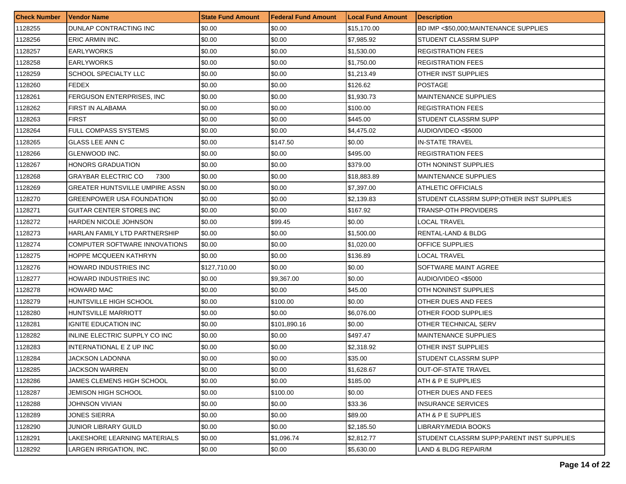| <b>Check Number</b> | Vendor Name                    | <b>State Fund Amount</b> | <b>Federal Fund Amount</b> | <b>Local Fund Amount</b> | <b>Description</b>                         |
|---------------------|--------------------------------|--------------------------|----------------------------|--------------------------|--------------------------------------------|
| 1128255             | DUNLAP CONTRACTING INC         | \$0.00                   | \$0.00                     | \$15,170.00              | BD IMP <\$50,000; MAINTENANCE SUPPLIES     |
| 1128256             | ERIC ARMIN INC.                | \$0.00                   | \$0.00                     | \$7,985.92               | STUDENT CLASSRM SUPP                       |
| 1128257             | <b>EARLYWORKS</b>              | \$0.00                   | \$0.00                     | \$1,530.00               | <b>REGISTRATION FEES</b>                   |
| 1128258             | <b>EARLYWORKS</b>              | \$0.00                   | \$0.00                     | \$1,750.00               | <b>REGISTRATION FEES</b>                   |
| 1128259             | SCHOOL SPECIALTY LLC           | \$0.00                   | \$0.00                     | \$1,213.49               | OTHER INST SUPPLIES                        |
| 1128260             | <b>FEDEX</b>                   | \$0.00                   | \$0.00                     | \$126.62                 | <b>POSTAGE</b>                             |
| 1128261             | FERGUSON ENTERPRISES, INC      | \$0.00                   | \$0.00                     | \$1,930.73               | <b>MAINTENANCE SUPPLIES</b>                |
| 1128262             | <b>FIRST IN ALABAMA</b>        | \$0.00                   | \$0.00                     | \$100.00                 | <b>REGISTRATION FEES</b>                   |
| 1128263             | <b>FIRST</b>                   | \$0.00                   | \$0.00                     | \$445.00                 | STUDENT CLASSRM SUPP                       |
| 1128264             | <b>FULL COMPASS SYSTEMS</b>    | \$0.00                   | \$0.00                     | \$4,475.02               | AUDIO/VIDEO <\$5000                        |
| 1128265             | <b>GLASS LEE ANN C</b>         | \$0.00                   | \$147.50                   | \$0.00                   | <b>IN-STATE TRAVEL</b>                     |
| 1128266             | GLENWOOD INC.                  | \$0.00                   | \$0.00                     | \$495.00                 | <b>REGISTRATION FEES</b>                   |
| 1128267             | HONORS GRADUATION              | \$0.00                   | \$0.00                     | \$379.00                 | OTH NONINST SUPPLIES                       |
| 1128268             | GRAYBAR ELECTRIC CO<br>7300    | \$0.00                   | \$0.00                     | \$18,883.89              | <b>MAINTENANCE SUPPLIES</b>                |
| 1128269             | GREATER HUNTSVILLE UMPIRE ASSN | \$0.00                   | \$0.00                     | \$7,397.00               | ATHLETIC OFFICIALS                         |
| 1128270             | GREENPOWER USA FOUNDATION      | \$0.00                   | \$0.00                     | \$2,139.83               | STUDENT CLASSRM SUPP: OTHER INST SUPPLIES  |
| 1128271             | GUITAR CENTER STORES INC       | \$0.00                   | \$0.00                     | \$167.92                 | TRANSP-OTH PROVIDERS                       |
| 1128272             | HARDEN NICOLE JOHNSON          | \$0.00                   | \$99.45                    | \$0.00                   | LOCAL TRAVEL                               |
| 1128273             | HARLAN FAMILY LTD PARTNERSHIP  | \$0.00                   | \$0.00                     | \$1,500.00               | RENTAL-LAND & BLDG                         |
| 1128274             | COMPUTER SOFTWARE INNOVATIONS  | \$0.00                   | \$0.00                     | \$1,020.00               | OFFICE SUPPLIES                            |
| 1128275             | HOPPE MCQUEEN KATHRYN          | \$0.00                   | \$0.00                     | \$136.89                 | <b>LOCAL TRAVEL</b>                        |
| 1128276             | HOWARD INDUSTRIES INC          | \$127,710.00             | \$0.00                     | \$0.00                   | SOFTWARE MAINT AGREE                       |
| 1128277             | HOWARD INDUSTRIES INC          | \$0.00                   | \$9,367.00                 | \$0.00                   | AUDIO/VIDEO <\$5000                        |
| 1128278             | HOWARD MAC                     | \$0.00                   | \$0.00                     | \$45.00                  | OTH NONINST SUPPLIES                       |
| 1128279             | HUNTSVILLE HIGH SCHOOL         | \$0.00                   | \$100.00                   | \$0.00                   | OTHER DUES AND FEES                        |
| 1128280             | <b>HUNTSVILLE MARRIOTT</b>     | \$0.00                   | \$0.00                     | \$6,076.00               | OTHER FOOD SUPPLIES                        |
| 1128281             | IGNITE EDUCATION INC           | \$0.00                   | \$101.890.16               | \$0.00                   | OTHER TECHNICAL SERV                       |
| 1128282             | INLINE ELECTRIC SUPPLY CO INC  | \$0.00                   | \$0.00                     | \$497.47                 | <b>MAINTENANCE SUPPLIES</b>                |
| 1128283             | INTERNATIONAL E Z UP INC       | \$0.00                   | \$0.00                     | \$2,318.92               | OTHER INST SUPPLIES                        |
| 1128284             | JACKSON LADONNA                | \$0.00                   | \$0.00                     | \$35.00                  | STUDENT CLASSRM SUPP                       |
| 1128285             | <b>JACKSON WARREN</b>          | \$0.00                   | \$0.00                     | \$1,628.67               | <b>JOUT-OF-STATE TRAVEL</b>                |
| 1128286             | JAMES CLEMENS HIGH SCHOOL      | \$0.00                   | \$0.00                     | \$185.00                 | ATH & P E SUPPLIES                         |
| 1128287             | <b>JEMISON HIGH SCHOOL</b>     | \$0.00                   | \$100.00                   | \$0.00                   | OTHER DUES AND FEES                        |
| 1128288             | JOHNSON VIVIAN                 | \$0.00                   | \$0.00                     | \$33.36                  | <b>INSURANCE SERVICES</b>                  |
| 1128289             | <b>JONES SIERRA</b>            | \$0.00                   | \$0.00                     | \$89.00                  | ATH & P E SUPPLIES                         |
| 1128290             | JUNIOR LIBRARY GUILD           | \$0.00                   | \$0.00                     | \$2,185.50               | LIBRARY/MEDIA BOOKS                        |
| 1128291             | LAKESHORE LEARNING MATERIALS   | \$0.00                   | \$1,096.74                 | \$2,812.77               | STUDENT CLASSRM SUPP; PARENT INST SUPPLIES |
| 1128292             | LARGEN IRRIGATION, INC.        | \$0.00                   | \$0.00                     | \$5,630.00               | LAND & BLDG REPAIR/M                       |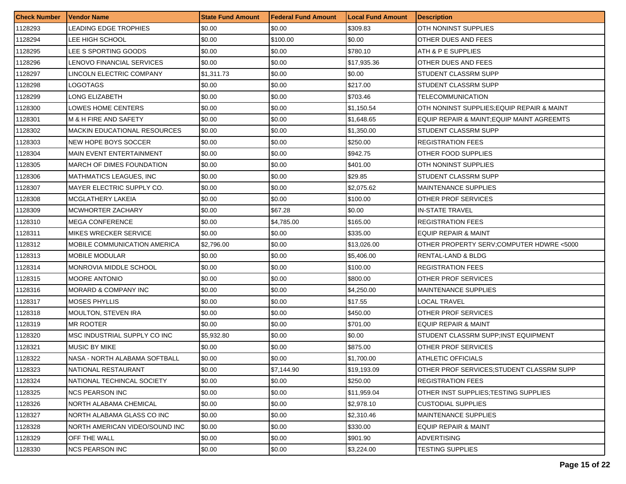| <b>Check Number</b> | <b>Vendor Name</b>                  | <b>State Fund Amount</b> | <b>Federal Fund Amount</b> | <b>Local Fund Amount</b> | <b>Description</b>                         |
|---------------------|-------------------------------------|--------------------------|----------------------------|--------------------------|--------------------------------------------|
| 1128293             | LEADING EDGE TROPHIES               | \$0.00                   | \$0.00                     | \$309.83                 | OTH NONINST SUPPLIES                       |
| 1128294             | LEE HIGH SCHOOL                     | \$0.00                   | \$100.00                   | \$0.00                   | OTHER DUES AND FEES                        |
| 1128295             | LEE S SPORTING GOODS                | \$0.00                   | \$0.00                     | \$780.10                 | ATH & P E SUPPLIES                         |
| 1128296             | LENOVO FINANCIAL SERVICES           | \$0.00                   | \$0.00                     | \$17,935.36              | OTHER DUES AND FEES                        |
| 1128297             | LINCOLN ELECTRIC COMPANY            | \$1,311.73               | \$0.00                     | \$0.00                   | STUDENT CLASSRM SUPP                       |
| 1128298             | LOGOTAGS                            | \$0.00                   | \$0.00                     | \$217.00                 | STUDENT CLASSRM SUPP                       |
| 1128299             | LONG ELIZABETH                      | \$0.00                   | \$0.00                     | \$703.46                 | TELECOMMUNICATION                          |
| 1128300             | LOWES HOME CENTERS                  | \$0.00                   | \$0.00                     | \$1,150.54               | OTH NONINST SUPPLIES; EQUIP REPAIR & MAINT |
| 1128301             | M & H FIRE AND SAFETY               | \$0.00                   | \$0.00                     | \$1,648.65               | EQUIP REPAIR & MAINT; EQUIP MAINT AGREEMTS |
| 1128302             | <b>MACKIN EDUCATIONAL RESOURCES</b> | \$0.00                   | \$0.00                     | \$1,350.00               | STUDENT CLASSRM SUPP                       |
| 1128303             | NEW HOPE BOYS SOCCER                | \$0.00                   | \$0.00                     | \$250.00                 | <b>REGISTRATION FEES</b>                   |
| 1128304             | MAIN EVENT ENTERTAINMENT            | \$0.00                   | \$0.00                     | \$942.75                 | OTHER FOOD SUPPLIES                        |
| 1128305             | MARCH OF DIMES FOUNDATION           | \$0.00                   | \$0.00                     | \$401.00                 | OTH NONINST SUPPLIES                       |
| 1128306             | MATHMATICS LEAGUES, INC             | \$0.00                   | \$0.00                     | \$29.85                  | STUDENT CLASSRM SUPP                       |
| 1128307             | MAYER ELECTRIC SUPPLY CO.           | \$0.00                   | \$0.00                     | \$2,075.62               | <b>MAINTENANCE SUPPLIES</b>                |
| 1128308             | MCGLATHERY LAKEIA                   | \$0.00                   | \$0.00                     | \$100.00                 | OTHER PROF SERVICES                        |
| 1128309             | MCWHORTER ZACHARY                   | \$0.00                   | \$67.28                    | \$0.00                   | <b>IN-STATE TRAVEL</b>                     |
| 1128310             | <b>MEGA CONFERENCE</b>              | \$0.00                   | \$4,785.00                 | \$165.00                 | <b>REGISTRATION FEES</b>                   |
| 1128311             | MIKES WRECKER SERVICE               | \$0.00                   | \$0.00                     | \$335.00                 | EQUIP REPAIR & MAINT                       |
| 1128312             | MOBILE COMMUNICATION AMERICA        | \$2,796.00               | \$0.00                     | \$13,026.00              | OTHER PROPERTY SERV; COMPUTER HDWRE <5000  |
| 1128313             | <b>MOBILE MODULAR</b>               | \$0.00                   | \$0.00                     | \$5,406.00               | RENTAL-LAND & BLDG                         |
| 1128314             | MONROVIA MIDDLE SCHOOL              | \$0.00                   | \$0.00                     | \$100.00                 | <b>REGISTRATION FEES</b>                   |
| 1128315             | <b>MOORE ANTONIO</b>                | \$0.00                   | \$0.00                     | \$800.00                 | OTHER PROF SERVICES                        |
| 1128316             | MORARD & COMPANY INC                | \$0.00                   | \$0.00                     | \$4,250.00               | <b>MAINTENANCE SUPPLIES</b>                |
| 1128317             | <b>MOSES PHYLLIS</b>                | \$0.00                   | \$0.00                     | \$17.55                  | LOCAL TRAVEL                               |
| 1128318             | MOULTON, STEVEN IRA                 | \$0.00                   | \$0.00                     | \$450.00                 | <b>OTHER PROF SERVICES</b>                 |
| 1128319             | <b>MR ROOTER</b>                    | \$0.00                   | \$0.00                     | \$701.00                 | <b>EQUIP REPAIR &amp; MAINT</b>            |
| 1128320             | MSC INDUSTRIAL SUPPLY CO INC        | \$5,932.80               | \$0.00                     | \$0.00                   | STUDENT CLASSRM SUPP;INST EQUIPMENT        |
| 1128321             | <b>MUSIC BY MIKE</b>                | \$0.00                   | \$0.00                     | \$875.00                 | OTHER PROF SERVICES                        |
| 1128322             | NASA - NORTH ALABAMA SOFTBALL       | \$0.00                   | \$0.00                     | \$1,700.00               | ATHLETIC OFFICIALS                         |
| 1128323             | NATIONAL RESTAURANT                 | \$0.00                   | \$7,144.90                 | \$19,193.09              | OTHER PROF SERVICES;STUDENT CLASSRM SUPP   |
| 1128324             | NATIONAL TECHINCAL SOCIETY          | \$0.00                   | \$0.00                     | \$250.00                 | <b>REGISTRATION FEES</b>                   |
| 1128325             | <b>NCS PEARSON INC</b>              | \$0.00                   | \$0.00                     | \$11,959.04              | OTHER INST SUPPLIES: TESTING SUPPLIES      |
| 1128326             | NORTH ALABAMA CHEMICAL              | \$0.00                   | \$0.00                     | \$2,978.10               | <b>CUSTODIAL SUPPLIES</b>                  |
| 1128327             | NORTH ALABAMA GLASS CO INC          | \$0.00                   | \$0.00                     | \$2,310.46               | <b>MAINTENANCE SUPPLIES</b>                |
| 1128328             | NORTH AMERICAN VIDEO/SOUND INC      | \$0.00                   | \$0.00                     | \$330.00                 | <b>EQUIP REPAIR &amp; MAINT</b>            |
| 1128329             | OFF THE WALL                        | \$0.00                   | \$0.00                     | \$901.90                 | <b>ADVERTISING</b>                         |
| 1128330             | <b>NCS PEARSON INC</b>              | \$0.00                   | \$0.00                     | \$3,224.00               | <b>TESTING SUPPLIES</b>                    |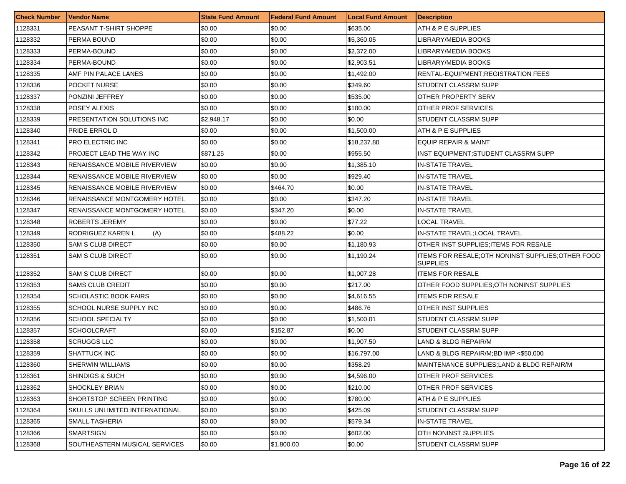| <b>Check Number</b> | <b>Vendor Name</b>                  | <b>State Fund Amount</b> | <b>Federal Fund Amount</b> | <b>Local Fund Amount</b> | <b>Description</b>                                                    |
|---------------------|-------------------------------------|--------------------------|----------------------------|--------------------------|-----------------------------------------------------------------------|
| 1128331             | PEASANT T-SHIRT SHOPPE              | \$0.00                   | \$0.00                     | \$635.00                 | ATH & P E SUPPLIES                                                    |
| 1128332             | PERMA BOUND                         | \$0.00                   | \$0.00                     | \$5,360.05               | LIBRARY/MEDIA BOOKS                                                   |
| 1128333             | PERMA-BOUND                         | \$0.00                   | \$0.00                     | \$2,372.00               | LIBRARY/MEDIA BOOKS                                                   |
| 1128334             | PERMA-BOUND                         | \$0.00                   | \$0.00                     | \$2,903.51               | LIBRARY/MEDIA BOOKS                                                   |
| 1128335             | AMF PIN PALACE LANES                | \$0.00                   | \$0.00                     | \$1,492.00               | RENTAL-EQUIPMENT; REGISTRATION FEES                                   |
| 1128336             | POCKET NURSE                        | \$0.00                   | \$0.00                     | \$349.60                 | STUDENT CLASSRM SUPP                                                  |
| 1128337             | PONZINI JEFFREY                     | \$0.00                   | \$0.00                     | \$535.00                 | OTHER PROPERTY SERV                                                   |
| 1128338             | POSEY ALEXIS                        | \$0.00                   | \$0.00                     | \$100.00                 | OTHER PROF SERVICES                                                   |
| 1128339             | PRESENTATION SOLUTIONS INC.         | \$2,948.17               | \$0.00                     | \$0.00                   | STUDENT CLASSRM SUPP                                                  |
| 1128340             | PRIDE ERROL D                       | \$0.00                   | \$0.00                     | \$1,500.00               | ATH & P E SUPPLIES                                                    |
| 1128341             | <b>PRO ELECTRIC INC</b>             | \$0.00                   | \$0.00                     | \$18,237.80              | <b>EQUIP REPAIR &amp; MAINT</b>                                       |
| 1128342             | PROJECT LEAD THE WAY INC            | \$871.25                 | \$0.00                     | \$955.50                 | INST EQUIPMENT: STUDENT CLASSRM SUPP                                  |
| 1128343             | <b>RENAISSANCE MOBILE RIVERVIEW</b> | \$0.00                   | \$0.00                     | \$1,385.10               | <b>IN-STATE TRAVEL</b>                                                |
| 1128344             | RENAISSANCE MOBILE RIVERVIEW        | \$0.00                   | \$0.00                     | \$929.40                 | <b>IN-STATE TRAVEL</b>                                                |
| 1128345             | RENAISSANCE MOBILE RIVERVIEW        | \$0.00                   | \$464.70                   | \$0.00                   | <b>IN-STATE TRAVEL</b>                                                |
| 1128346             | <b>RENAISSANCE MONTGOMERY HOTEL</b> | \$0.00                   | \$0.00                     | \$347.20                 | <b>IN-STATE TRAVEL</b>                                                |
| 1128347             | <b>RENAISSANCE MONTGOMERY HOTEL</b> | \$0.00                   | \$347.20                   | \$0.00                   | <b>IN-STATE TRAVEL</b>                                                |
| 1128348             | ROBERTS JEREMY                      | \$0.00                   | \$0.00                     | \$77.22                  | LOCAL TRAVEL                                                          |
| 1128349             | RODRIGUEZ KAREN L<br>(A)            | \$0.00                   | \$488.22                   | \$0.00                   | IN-STATE TRAVEL;LOCAL TRAVEL                                          |
| 1128350             | SAM S CLUB DIRECT                   | \$0.00                   | \$0.00                     | \$1,180.93               | OTHER INST SUPPLIES; ITEMS FOR RESALE                                 |
| 1128351             | <b>SAM S CLUB DIRECT</b>            | \$0.00                   | \$0.00                     | \$1,190.24               | ITEMS FOR RESALE; OTH NONINST SUPPLIES; OTHER FOOD<br><b>SUPPLIES</b> |
| 1128352             | <b>SAM S CLUB DIRECT</b>            | \$0.00                   | \$0.00                     | \$1,007.28               | <b>ITEMS FOR RESALE</b>                                               |
| 1128353             | <b>SAMS CLUB CREDIT</b>             | \$0.00                   | \$0.00                     | \$217.00                 | OTHER FOOD SUPPLIES; OTH NONINST SUPPLIES                             |
| 1128354             | <b>SCHOLASTIC BOOK FAIRS</b>        | \$0.00                   | \$0.00                     | \$4,616.55               | <b>ITEMS FOR RESALE</b>                                               |
| 1128355             | SCHOOL NURSE SUPPLY INC             | \$0.00                   | \$0.00                     | \$486.76                 | OTHER INST SUPPLIES                                                   |
| 1128356             | <b>SCHOOL SPECIALTY</b>             | \$0.00                   | \$0.00                     | \$1,500.01               | STUDENT CLASSRM SUPP                                                  |
| 1128357             | <b>SCHOOLCRAFT</b>                  | \$0.00                   | \$152.87                   | \$0.00                   | STUDENT CLASSRM SUPP                                                  |
| 1128358             | <b>SCRUGGS LLC</b>                  | \$0.00                   | \$0.00                     | \$1,907.50               | <b>LAND &amp; BLDG REPAIR/M</b>                                       |
| 1128359             | SHATTUCK INC                        | \$0.00                   | \$0.00                     | \$16,797.00              | LAND & BLDG REPAIR/M;BD IMP <\$50,000                                 |
| 1128360             | SHERWIN WILLIAMS                    | \$0.00                   | \$0.00                     | \$358.29                 | MAINTENANCE SUPPLIES;LAND & BLDG REPAIR/M                             |
| 1128361             | <b>SHINDIGS &amp; SUCH</b>          | \$0.00                   | \$0.00                     | \$4,596.00               | OTHER PROF SERVICES                                                   |
| 1128362             | <b>SHOCKLEY BRIAN</b>               | \$0.00                   | \$0.00                     | \$210.00                 | OTHER PROF SERVICES                                                   |
| 1128363             | SHORTSTOP SCREEN PRINTING           | \$0.00                   | \$0.00                     | \$780.00                 | ATH & P E SUPPLIES                                                    |
| 1128364             | SKULLS UNLIMITED INTERNATIONAL      | \$0.00                   | \$0.00                     | \$425.09                 | STUDENT CLASSRM SUPP                                                  |
| 1128365             | SMALL TASHERIA                      | \$0.00                   | \$0.00                     | \$579.34                 | <b>IN-STATE TRAVEL</b>                                                |
| 1128366             | <b>SMARTSIGN</b>                    | \$0.00                   | \$0.00                     | \$602.00                 | OTH NONINST SUPPLIES                                                  |
| 1128368             | SOUTHEASTERN MUSICAL SERVICES       | \$0.00                   | \$1,800.00                 | \$0.00                   | <b>STUDENT CLASSRM SUPP</b>                                           |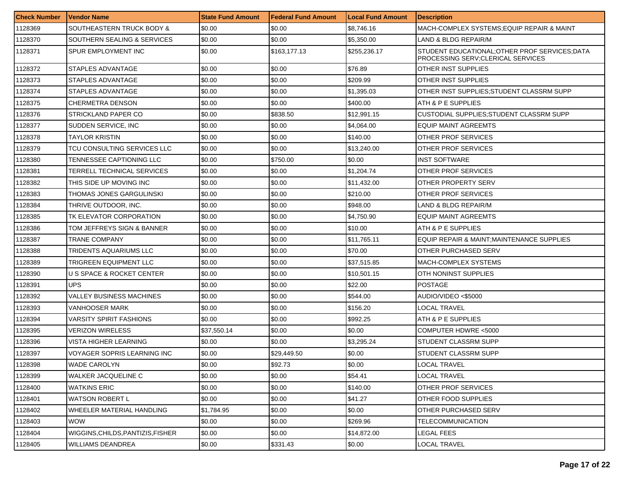| <b>Check Number</b> | l Vendor Name                     | <b>State Fund Amount</b> | <b>Federal Fund Amount</b> | <b>Local Fund Amount</b> | <b>Description</b>                                                                  |
|---------------------|-----------------------------------|--------------------------|----------------------------|--------------------------|-------------------------------------------------------------------------------------|
| 1128369             | SOUTHEASTERN TRUCK BODY &         | \$0.00                   | \$0.00                     | \$8,746.16               | MACH-COMPLEX SYSTEMS; EQUIP REPAIR & MAINT                                          |
| 1128370             | SOUTHERN SEALING & SERVICES       | \$0.00                   | \$0.00                     | \$5,350.00               | LAND & BLDG REPAIR/M                                                                |
| 1128371             | SPUR EMPLOYMENT INC               | \$0.00                   | \$163,177.13               | \$255,236.17             | STUDENT EDUCATIONAL; OTHER PROF SERVICES; DATA<br>PROCESSING SERV:CLERICAL SERVICES |
| 1128372             | STAPLES ADVANTAGE                 | \$0.00                   | \$0.00                     | \$76.89                  | OTHER INST SUPPLIES                                                                 |
| 1128373             | STAPLES ADVANTAGE                 | \$0.00                   | \$0.00                     | \$209.99                 | OTHER INST SUPPLIES                                                                 |
| 1128374             | STAPLES ADVANTAGE                 | \$0.00                   | \$0.00                     | \$1,395.03               | OTHER INST SUPPLIES:STUDENT CLASSRM SUPP                                            |
| 1128375             | CHERMETRA DENSON                  | \$0.00                   | \$0.00                     | \$400.00                 | ATH & P E SUPPLIES                                                                  |
| 1128376             | STRICKLAND PAPER CO               | \$0.00                   | \$838.50                   | \$12,991.15              | CUSTODIAL SUPPLIES; STUDENT CLASSRM SUPP                                            |
| 1128377             | SUDDEN SERVICE, INC               | \$0.00                   | \$0.00                     | \$4,064.00               | EQUIP MAINT AGREEMTS                                                                |
| 1128378             | TAYLOR KRISTIN                    | \$0.00                   | \$0.00                     | \$140.00                 | OTHER PROF SERVICES                                                                 |
| 1128379             | TCU CONSULTING SERVICES LLC       | \$0.00                   | \$0.00                     | \$13,240.00              | OTHER PROF SERVICES                                                                 |
| 1128380             | TENNESSEE CAPTIONING LLC          | \$0.00                   | \$750.00                   | \$0.00                   | INST SOFTWARE                                                                       |
| 1128381             | TERRELL TECHNICAL SERVICES        | \$0.00                   | \$0.00                     | \$1,204.74               | OTHER PROF SERVICES                                                                 |
| 1128382             | THIS SIDE UP MOVING INC           | \$0.00                   | \$0.00                     | \$11,432.00              | OTHER PROPERTY SERV                                                                 |
| 1128383             | THOMAS JONES GARGULINSKI          | \$0.00                   | \$0.00                     | \$210.00                 | OTHER PROF SERVICES                                                                 |
| 1128384             | THRIVE OUTDOOR, INC.              | \$0.00                   | \$0.00                     | \$948.00                 | LAND & BLDG REPAIR/M                                                                |
| 1128385             | TK ELEVATOR CORPORATION           | \$0.00                   | \$0.00                     | \$4,750.90               | <b>EQUIP MAINT AGREEMTS</b>                                                         |
| 1128386             | TOM JEFFREYS SIGN & BANNER        | \$0.00                   | \$0.00                     | \$10.00                  | ATH & P E SUPPLIES                                                                  |
| 1128387             | TRANE COMPANY                     | \$0.00                   | \$0.00                     | \$11,765.11              | EQUIP REPAIR & MAINT;MAINTENANCE SUPPLIES                                           |
| 1128388             | TRIDENTS AQUARIUMS LLC            | \$0.00                   | \$0.00                     | \$70.00                  | OTHER PURCHASED SERV                                                                |
| 1128389             | TRIGREEN EQUIPMENT LLC            | \$0.00                   | \$0.00                     | \$37,515.85              | MACH-COMPLEX SYSTEMS                                                                |
| 1128390             | U S SPACE & ROCKET CENTER         | \$0.00                   | \$0.00                     | \$10,501.15              | OTH NONINST SUPPLIES                                                                |
| 1128391             | <b>UPS</b>                        | \$0.00                   | \$0.00                     | \$22.00                  | <b>POSTAGE</b>                                                                      |
| 1128392             | <b>VALLEY BUSINESS MACHINES</b>   | \$0.00                   | \$0.00                     | \$544.00                 | AUDIO/VIDEO <\$5000                                                                 |
| 1128393             | <b>VANHOOSER MARK</b>             | \$0.00                   | \$0.00                     | \$156.20                 | LOCAL TRAVEL                                                                        |
| 1128394             | <b>VARSITY SPIRIT FASHIONS</b>    | \$0.00                   | \$0.00                     | \$992.25                 | ATH & P E SUPPLIES                                                                  |
| 1128395             | VERIZON WIRELESS                  | \$37,550.14              | \$0.00                     | \$0.00                   | COMPUTER HDWRE <5000                                                                |
| 1128396             | VISTA HIGHER LEARNING             | \$0.00                   | \$0.00                     | \$3,295.24               | STUDENT CLASSRM SUPP                                                                |
| 1128397             | VOYAGER SOPRIS LEARNING INC       | \$0.00                   | \$29,449.50                | \$0.00                   | STUDENT CLASSRM SUPP                                                                |
| 1128398             | <b>WADE CAROLYN</b>               | \$0.00                   | \$92.73                    | \$0.00                   | LOCAL TRAVEL                                                                        |
| 1128399             | WALKER JACQUELINE C               | \$0.00                   | \$0.00                     | \$54.41                  | LOCAL TRAVEL                                                                        |
| 1128400             | <b>WATKINS ERIC</b>               | \$0.00                   | \$0.00                     | \$140.00                 | OTHER PROF SERVICES                                                                 |
| 1128401             | WATSON ROBERT L                   | \$0.00                   | \$0.00                     | \$41.27                  | OTHER FOOD SUPPLIES                                                                 |
| 1128402             | WHEELER MATERIAL HANDLING         | \$1,784.95               | \$0.00                     | \$0.00                   | OTHER PURCHASED SERV                                                                |
| 1128403             | WOW                               | \$0.00                   | \$0.00                     | \$269.96                 | <b>TELECOMMUNICATION</b>                                                            |
| 1128404             | WIGGINS, CHILDS, PANTIZIS, FISHER | \$0.00                   | \$0.00                     | \$14,872.00              | LEGAL FEES                                                                          |
| 1128405             | <b>WILLIAMS DEANDREA</b>          | \$0.00                   | \$331.43                   | \$0.00                   | LOCAL TRAVEL                                                                        |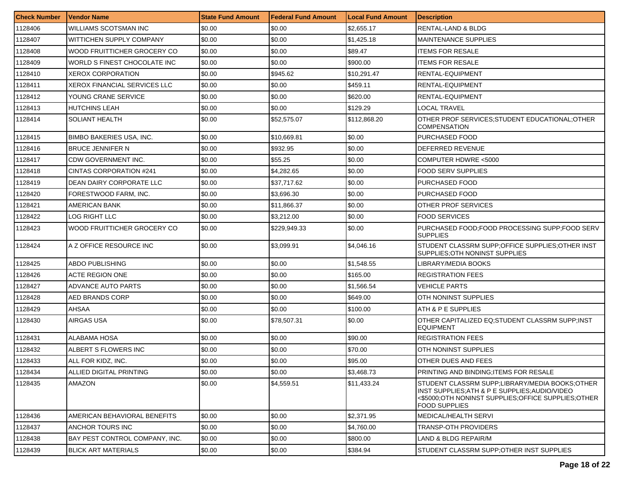| <b>Check Number</b> | Vendor Name                     | <b>State Fund Amount</b> | Federal Fund Amount | <b>Local Fund Amount</b> | <b>Description</b>                                                                                                                                                             |
|---------------------|---------------------------------|--------------------------|---------------------|--------------------------|--------------------------------------------------------------------------------------------------------------------------------------------------------------------------------|
| 1128406             | WILLIAMS SCOTSMAN INC           | \$0.00                   | \$0.00              | \$2,655.17               | RENTAL-LAND & BLDG                                                                                                                                                             |
| 1128407             | WITTICHEN SUPPLY COMPANY        | \$0.00                   | \$0.00              | \$1,425.18               | <b>MAINTENANCE SUPPLIES</b>                                                                                                                                                    |
| 1128408             | WOOD FRUITTICHER GROCERY CO     | \$0.00                   | \$0.00              | \$89.47                  | <b>ITEMS FOR RESALE</b>                                                                                                                                                        |
| 1128409             | WORLD S FINEST CHOCOLATE INC    | \$0.00                   | \$0.00              | \$900.00                 | <b>ITEMS FOR RESALE</b>                                                                                                                                                        |
| 1128410             | XEROX CORPORATION               | \$0.00                   | \$945.62            | \$10,291.47              | RENTAL-EQUIPMENT                                                                                                                                                               |
| 1128411             | XEROX FINANCIAL SERVICES LLC    | \$0.00                   | \$0.00              | \$459.11                 | RENTAL-EQUIPMENT                                                                                                                                                               |
| 1128412             | YOUNG CRANE SERVICE             | \$0.00                   | \$0.00              | \$620.00                 | RENTAL-EQUIPMENT                                                                                                                                                               |
| 1128413             | <b>HUTCHINS LEAH</b>            | \$0.00                   | \$0.00              | \$129.29                 | LOCAL TRAVEL                                                                                                                                                                   |
| 1128414             | <b>SOLIANT HEALTH</b>           | \$0.00                   | \$52,575.07         | \$112,868.20             | OTHER PROF SERVICES; STUDENT EDUCATIONAL; OTHER<br><b>COMPENSATION</b>                                                                                                         |
| 1128415             | <b>BIMBO BAKERIES USA, INC.</b> | \$0.00                   | \$10,669.81         | \$0.00                   | PURCHASED FOOD                                                                                                                                                                 |
| 1128416             | <b>BRUCE JENNIFER N</b>         | \$0.00                   | \$932.95            | \$0.00                   | DEFERRED REVENUE                                                                                                                                                               |
| 1128417             | CDW GOVERNMENT INC.             | \$0.00                   | \$55.25             | \$0.00                   | COMPUTER HDWRE <5000                                                                                                                                                           |
| 1128418             | CINTAS CORPORATION #241         | \$0.00                   | \$4,282.65          | \$0.00                   | <b>FOOD SERV SUPPLIES</b>                                                                                                                                                      |
| 1128419             | DEAN DAIRY CORPORATE LLC        | \$0.00                   | \$37,717.62         | \$0.00                   | PURCHASED FOOD                                                                                                                                                                 |
| 1128420             | FORESTWOOD FARM. INC.           | \$0.00                   | \$3,696.30          | \$0.00                   | PURCHASED FOOD                                                                                                                                                                 |
| 1128421             | AMERICAN BANK                   | \$0.00                   | \$11,866.37         | \$0.00                   | OTHER PROF SERVICES                                                                                                                                                            |
| 1128422             | LOG RIGHT LLC                   | \$0.00                   | \$3,212.00          | \$0.00                   | <b>FOOD SERVICES</b>                                                                                                                                                           |
| 1128423             | WOOD FRUITTICHER GROCERY CO     | \$0.00                   | \$229.949.33        | \$0.00                   | PURCHASED FOOD:FOOD PROCESSING SUPP:FOOD SERV<br><b>SUPPLIES</b>                                                                                                               |
| 1128424             | A Z OFFICE RESOURCE INC         | \$0.00                   | \$3,099.91          | \$4,046.16               | STUDENT CLASSRM SUPP; OFFICE SUPPLIES; OTHER INST<br>SUPPLIES: OTH NONINST SUPPLIES                                                                                            |
| 1128425             | ABDO PUBLISHING                 | \$0.00                   | \$0.00              | \$1,548.55               | LIBRARY/MEDIA BOOKS                                                                                                                                                            |
| 1128426             | ACTE REGION ONE                 | \$0.00                   | \$0.00              | \$165.00                 | <b>REGISTRATION FEES</b>                                                                                                                                                       |
| 1128427             | ADVANCE AUTO PARTS              | \$0.00                   | \$0.00              | \$1,566.54               | VEHICLE PARTS                                                                                                                                                                  |
| 1128428             | AED BRANDS CORP                 | \$0.00                   | \$0.00              | \$649.00                 | OTH NONINST SUPPLIES                                                                                                                                                           |
| 1128429             | AHSAA                           | \$0.00                   | \$0.00              | \$100.00                 | ATH & P E SUPPLIES                                                                                                                                                             |
| 1128430             | AIRGAS USA                      | \$0.00                   | \$78,507.31         | \$0.00                   | OTHER CAPITALIZED EQ:STUDENT CLASSRM SUPP;INST<br><b>EQUIPMENT</b>                                                                                                             |
| 1128431             | ALABAMA HOSA                    | \$0.00                   | \$0.00              | \$90.00                  | <b>REGISTRATION FEES</b>                                                                                                                                                       |
| 1128432             | ALBERT S FLOWERS INC            | \$0.00                   | \$0.00              | \$70.00                  | OTH NONINST SUPPLIES                                                                                                                                                           |
| 1128433             | ALL FOR KIDZ, INC.              | \$0.00                   | \$0.00              | \$95.00                  | OTHER DUES AND FEES                                                                                                                                                            |
| 1128434             | ALLIED DIGITAL PRINTING         | \$0.00                   | \$0.00              | \$3,468.73               | PRINTING AND BINDING; ITEMS FOR RESALE                                                                                                                                         |
| 1128435             | AMAZON                          | \$0.00                   | \$4,559.51          | \$11,433.24              | STUDENT CLASSRM SUPP;LIBRARY/MEDIA BOOKS:OTHER<br>INST SUPPLIES; ATH & P E SUPPLIES; AUDIO/VIDEO<br><\$5000;OTH NONINST SUPPLIES;OFFICE SUPPLIES;OTHER<br><b>FOOD SUPPLIES</b> |
| 1128436             | AMERICAN BEHAVIORAL BENEFITS    | \$0.00                   | \$0.00              | \$2,371.95               | MEDICAL/HEALTH SERVI                                                                                                                                                           |
| 1128437             | ANCHOR TOURS INC                | \$0.00                   | \$0.00              | \$4,760.00               | <b>TRANSP-OTH PROVIDERS</b>                                                                                                                                                    |
| 1128438             | BAY PEST CONTROL COMPANY, INC.  | \$0.00                   | \$0.00              | \$800.00                 | LAND & BLDG REPAIR/M                                                                                                                                                           |
| 1128439             | <b>BLICK ART MATERIALS</b>      | \$0.00                   | \$0.00              | \$384.94                 | STUDENT CLASSRM SUPP: OTHER INST SUPPLIES                                                                                                                                      |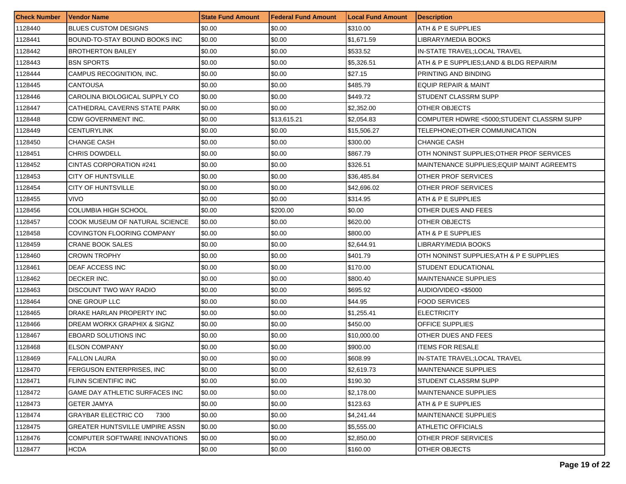| <b>Check Number</b> | <b>Vendor Name</b>                 | <b>State Fund Amount</b> | l Federal Fund Amount | <b>Local Fund Amount</b> | <b>Description</b>                         |
|---------------------|------------------------------------|--------------------------|-----------------------|--------------------------|--------------------------------------------|
| 1128440             | <b>BLUES CUSTOM DESIGNS</b>        | \$0.00                   | \$0.00                | \$310.00                 | ATH & P E SUPPLIES                         |
| 1128441             | BOUND-TO-STAY BOUND BOOKS INC      | \$0.00                   | \$0.00                | \$1,671.59               | LIBRARY/MEDIA BOOKS                        |
| 1128442             | <b>BROTHERTON BAILEY</b>           | \$0.00                   | \$0.00                | \$533.52                 | IN-STATE TRAVEL;LOCAL TRAVEL               |
| 1128443             | <b>BSN SPORTS</b>                  | \$0.00                   | \$0.00                | \$5,326.51               | ATH & P E SUPPLIES; LAND & BLDG REPAIR/M   |
| 1128444             | CAMPUS RECOGNITION, INC.           | \$0.00                   | \$0.00                | \$27.15                  | PRINTING AND BINDING                       |
| 1128445             | <b>CANTOUSA</b>                    | \$0.00                   | \$0.00                | \$485.79                 | EQUIP REPAIR & MAINT                       |
| 1128446             | CAROLINA BIOLOGICAL SUPPLY CO      | \$0.00                   | \$0.00                | \$449.72                 | STUDENT CLASSRM SUPP                       |
| 1128447             | CATHEDRAL CAVERNS STATE PARK       | \$0.00                   | \$0.00                | \$2,352.00               | OTHER OBJECTS                              |
| 1128448             | CDW GOVERNMENT INC.                | \$0.00                   | \$13,615.21           | \$2,054.83               | COMPUTER HDWRE <5000:STUDENT CLASSRM SUPP  |
| 1128449             | CENTURYLINK                        | \$0.00                   | \$0.00                | \$15,506.27              | TELEPHONE:OTHER COMMUNICATION              |
| 1128450             | <b>CHANGE CASH</b>                 | \$0.00                   | \$0.00                | \$300.00                 | <b>CHANGE CASH</b>                         |
| 1128451             | CHRIS DOWDELL                      | \$0.00                   | \$0.00                | \$867.79                 | OTH NONINST SUPPLIES: OTHER PROF SERVICES  |
| 1128452             | CINTAS CORPORATION #241            | \$0.00                   | \$0.00                | \$326.51                 | MAINTENANCE SUPPLIES: EQUIP MAINT AGREEMTS |
| 1128453             | <b>CITY OF HUNTSVILLE</b>          | \$0.00                   | \$0.00                | \$36,485.84              | OTHER PROF SERVICES                        |
| 1128454             | <b>CITY OF HUNTSVILLE</b>          | \$0.00                   | \$0.00                | \$42,696.02              | OTHER PROF SERVICES                        |
| 1128455             | <b>VIVO</b>                        | \$0.00                   | \$0.00                | \$314.95                 | ATH & P E SUPPLIES                         |
| 1128456             | COLUMBIA HIGH SCHOOL               | \$0.00                   | \$200.00              | \$0.00                   | OTHER DUES AND FEES                        |
| 1128457             | COOK MUSEUM OF NATURAL SCIENCE     | \$0.00                   | \$0.00                | \$620.00                 | OTHER OBJECTS                              |
| 1128458             | COVINGTON FLOORING COMPANY         | \$0.00                   | \$0.00                | \$800.00                 | ATH & P E SUPPLIES                         |
| 1128459             | <b>CRANE BOOK SALES</b>            | \$0.00                   | \$0.00                | \$2,644.91               | LIBRARY/MEDIA BOOKS                        |
| 1128460             | <b>CROWN TROPHY</b>                | \$0.00                   | \$0.00                | \$401.79                 | OTH NONINST SUPPLIES; ATH & P E SUPPLIES   |
| 1128461             | DEAF ACCESS INC                    | \$0.00                   | \$0.00                | \$170.00                 | STUDENT EDUCATIONAL                        |
| 1128462             | DECKER INC.                        | \$0.00                   | \$0.00                | \$800.40                 | <b>MAINTENANCE SUPPLIES</b>                |
| 1128463             | DISCOUNT TWO WAY RADIO             | \$0.00                   | \$0.00                | \$695.92                 | AUDIO/VIDEO <\$5000                        |
| 1128464             | ONE GROUP LLC                      | \$0.00                   | \$0.00                | \$44.95                  | <b>FOOD SERVICES</b>                       |
| 1128465             | DRAKE HARLAN PROPERTY INC          | \$0.00                   | \$0.00                | \$1,255.41               | <b>ELECTRICITY</b>                         |
| 1128466             | DREAM WORKX GRAPHIX & SIGNZ        | \$0.00                   | \$0.00                | \$450.00                 | <b>OFFICE SUPPLIES</b>                     |
| 1128467             | EBOARD SOLUTIONS INC               | \$0.00                   | \$0.00                | \$10,000.00              | OTHER DUES AND FEES                        |
| 1128468             | <b>ELSON COMPANY</b>               | \$0.00                   | \$0.00                | \$900.00                 | <b>ITEMS FOR RESALE</b>                    |
| 1128469             | <b>FALLON LAURA</b>                | \$0.00                   | \$0.00                | \$608.99                 | IN-STATE TRAVEL;LOCAL TRAVEL               |
| 1128470             | <b>FERGUSON ENTERPRISES, INC</b>   | \$0.00                   | \$0.00                | \$2,619.73               | MAINTENANCE SUPPLIES                       |
| 1128471             | FLINN SCIENTIFIC INC               | \$0.00                   | \$0.00                | \$190.30                 | STUDENT CLASSRM SUPP                       |
| 1128472             | GAME DAY ATHLETIC SURFACES INC     | \$0.00                   | \$0.00                | \$2,178.00               | <b>MAINTENANCE SUPPLIES</b>                |
| 1128473             | GETER JAMYA                        | \$0.00                   | \$0.00                | \$123.63                 | ATH & P E SUPPLIES                         |
| 1128474             | <b>GRAYBAR ELECTRIC CO</b><br>7300 | \$0.00                   | \$0.00                | \$4,241.44               | <b>MAINTENANCE SUPPLIES</b>                |
| 1128475             | GREATER HUNTSVILLE UMPIRE ASSN     | \$0.00                   | \$0.00                | \$5,555.00               | ATHLETIC OFFICIALS                         |
| 1128476             | COMPUTER SOFTWARE INNOVATIONS      | \$0.00                   | \$0.00                | \$2,850.00               | <b>OTHER PROF SERVICES</b>                 |
| 1128477             | <b>HCDA</b>                        | \$0.00                   | \$0.00                | \$160.00                 | <b>OTHER OBJECTS</b>                       |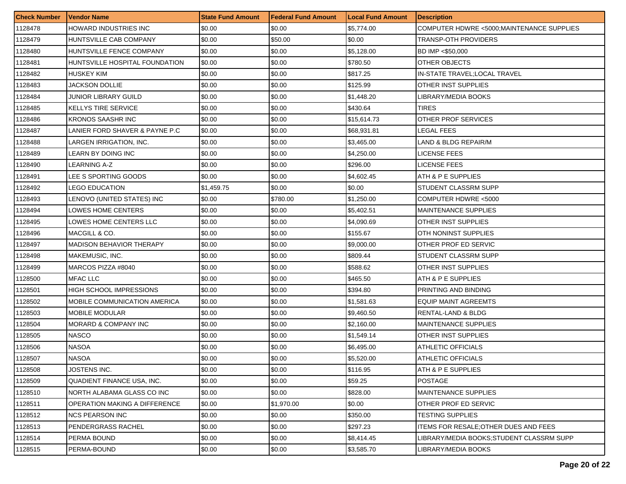| <b>Check Number</b> | <b>Vendor Name</b>                  | <b>State Fund Amount</b> | <b>Federal Fund Amount</b> | <b>Local Fund Amount</b> | <b>Description</b>                          |
|---------------------|-------------------------------------|--------------------------|----------------------------|--------------------------|---------------------------------------------|
| 1128478             | HOWARD INDUSTRIES INC               | \$0.00                   | \$0.00                     | \$5,774.00               | COMPUTER HDWRE <5000; MAINTENANCE SUPPLIES  |
| 1128479             | HUNTSVILLE CAB COMPANY              | \$0.00                   | \$50.00                    | \$0.00                   | TRANSP-OTH PROVIDERS                        |
| 1128480             | HUNTSVILLE FENCE COMPANY            | \$0.00                   | \$0.00                     | \$5,128.00               | BD IMP <\$50,000                            |
| 1128481             | HUNTSVILLE HOSPITAL FOUNDATION      | \$0.00                   | \$0.00                     | \$780.50                 | OTHER OBJECTS                               |
| 1128482             | HUSKEY KIM                          | \$0.00                   | \$0.00                     | \$817.25                 | IN-STATE TRAVEL:LOCAL TRAVEL                |
| 1128483             | JACKSON DOLLIE                      | \$0.00                   | \$0.00                     | \$125.99                 | OTHER INST SUPPLIES                         |
| 1128484             | JUNIOR LIBRARY GUILD                | \$0.00                   | \$0.00                     | \$1,448.20               | LIBRARY/MEDIA BOOKS                         |
| 1128485             | <b>KELLYS TIRE SERVICE</b>          | \$0.00                   | \$0.00                     | \$430.64                 | TIRES                                       |
| 1128486             | <b>KRONOS SAASHR INC</b>            | \$0.00                   | \$0.00                     | \$15,614.73              | OTHER PROF SERVICES                         |
| 1128487             | LANIER FORD SHAVER & PAYNE P.C      | \$0.00                   | \$0.00                     | \$68,931.81              | LEGAL FEES                                  |
| 1128488             | LARGEN IRRIGATION, INC.             | \$0.00                   | \$0.00                     | \$3,465.00               | LAND & BLDG REPAIR/M                        |
| 1128489             | LEARN BY DOING INC                  | \$0.00                   | \$0.00                     | \$4,250.00               | LICENSE FEES                                |
| 1128490             | LEARNING A-Z                        | \$0.00                   | \$0.00                     | \$296.00                 | LICENSE FEES                                |
| 1128491             | LEE S SPORTING GOODS                | \$0.00                   | \$0.00                     | \$4,602.45               | ATH & P E SUPPLIES                          |
| 1128492             | LEGO EDUCATION                      | \$1,459.75               | \$0.00                     | \$0.00                   | STUDENT CLASSRM SUPP                        |
| 1128493             | LENOVO (UNITED STATES) INC          | \$0.00                   | \$780.00                   | \$1,250.00               | COMPUTER HDWRE <5000                        |
| 1128494             | LOWES HOME CENTERS                  | \$0.00                   | \$0.00                     | \$5,402.51               | <b>MAINTENANCE SUPPLIES</b>                 |
| 1128495             | LOWES HOME CENTERS LLC              | \$0.00                   | \$0.00                     | \$4.090.69               | OTHER INST SUPPLIES                         |
| 1128496             | MACGILL & CO.                       | \$0.00                   | \$0.00                     | \$155.67                 | OTH NONINST SUPPLIES                        |
| 1128497             | <b>MADISON BEHAVIOR THERAPY</b>     | \$0.00                   | \$0.00                     | \$9,000.00               | OTHER PROF ED SERVIC                        |
| 1128498             | MAKEMUSIC, INC.                     | \$0.00                   | \$0.00                     | \$809.44                 | STUDENT CLASSRM SUPP                        |
| 1128499             | MARCOS PIZZA #8040                  | \$0.00                   | \$0.00                     | \$588.62                 | OTHER INST SUPPLIES                         |
| 1128500             | <b>MFAC LLC</b>                     | \$0.00                   | \$0.00                     | \$465.50                 | ATH & P E SUPPLIES                          |
| 1128501             | <b>HIGH SCHOOL IMPRESSIONS</b>      | \$0.00                   | \$0.00                     | \$394.80                 | PRINTING AND BINDING                        |
| 1128502             | <b>MOBILE COMMUNICATION AMERICA</b> | \$0.00                   | \$0.00                     | \$1,581.63               | EQUIP MAINT AGREEMTS                        |
| 1128503             | <b>MOBILE MODULAR</b>               | \$0.00                   | \$0.00                     | \$9,460.50               | RENTAL-LAND & BLDG                          |
| 1128504             | MORARD & COMPANY INC                | \$0.00                   | \$0.00                     | \$2,160.00               | MAINTENANCE SUPPLIES                        |
| 1128505             | <b>NASCO</b>                        | \$0.00                   | \$0.00                     | \$1,549.14               | OTHER INST SUPPLIES                         |
| 1128506             | <b>NASOA</b>                        | \$0.00                   | \$0.00                     | \$6,495.00               | ATHLETIC OFFICIALS                          |
| 1128507             | <b>NASOA</b>                        | \$0.00                   | \$0.00                     | \$5,520.00               | ATHLETIC OFFICIALS                          |
| 1128508             | JOSTENS INC.                        | \$0.00                   | \$0.00                     | \$116.95                 | ATH & P E SUPPLIES                          |
| 1128509             | QUADIENT FINANCE USA, INC.          | \$0.00                   | \$0.00                     | \$59.25                  | <b>POSTAGE</b>                              |
| 1128510             | NORTH ALABAMA GLASS CO INC          | \$0.00                   | \$0.00                     | \$828.00                 | <b>MAINTENANCE SUPPLIES</b>                 |
| 1128511             | OPERATION MAKING A DIFFERENCE       | \$0.00                   | \$1.970.00                 | \$0.00                   | OTHER PROF ED SERVIC                        |
| 1128512             | <b>NCS PEARSON INC</b>              | \$0.00                   | \$0.00                     | \$350.00                 | <b>TESTING SUPPLIES</b>                     |
| 1128513             | PENDERGRASS RACHEL                  | \$0.00                   | \$0.00                     | \$297.23                 | <b>ITEMS FOR RESALE:OTHER DUES AND FEES</b> |
| 1128514             | PERMA BOUND                         | \$0.00                   | \$0.00                     | \$8,414.45               | LIBRARY/MEDIA BOOKS;STUDENT CLASSRM SUPP    |
| 1128515             | PERMA-BOUND                         | \$0.00                   | \$0.00                     | \$3,585.70               | LIBRARY/MEDIA BOOKS                         |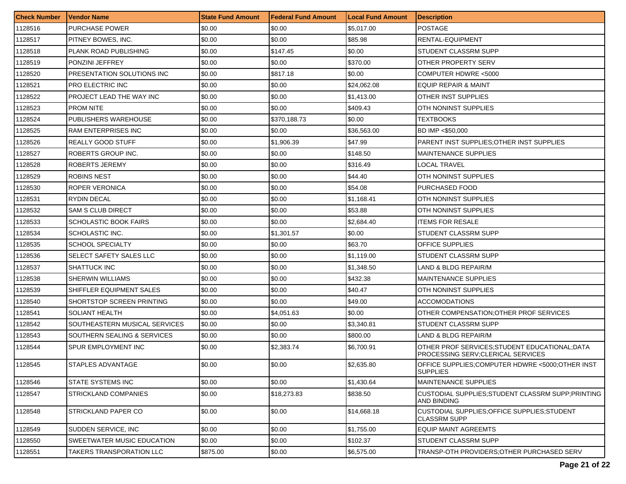| <b>Check Number</b> | <b>Vendor Name</b>            | <b>State Fund Amount</b> | l Federal Fund Amount | <b>Local Fund Amount</b> | Description                                                                          |
|---------------------|-------------------------------|--------------------------|-----------------------|--------------------------|--------------------------------------------------------------------------------------|
| 1128516             | <b>PURCHASE POWER</b>         | \$0.00                   | \$0.00                | \$5,017.00               | <b>POSTAGE</b>                                                                       |
| 1128517             | PITNEY BOWES, INC.            | \$0.00                   | \$0.00                | \$85.98                  | RENTAL-EQUIPMENT                                                                     |
| 1128518             | PLANK ROAD PUBLISHING         | \$0.00                   | \$147.45              | \$0.00                   | STUDENT CLASSRM SUPP                                                                 |
| 1128519             | PONZINI JEFFREY               | \$0.00                   | \$0.00                | \$370.00                 | OTHER PROPERTY SERV                                                                  |
| 1128520             | PRESENTATION SOLUTIONS INC    | \$0.00                   | \$817.18              | \$0.00                   | COMPUTER HDWRE <5000                                                                 |
| 1128521             | <b>PRO ELECTRIC INC</b>       | \$0.00                   | \$0.00                | \$24,062.08              | <b>EQUIP REPAIR &amp; MAINT</b>                                                      |
| 1128522             | PROJECT LEAD THE WAY INC      | \$0.00                   | \$0.00                | \$1,413.00               | OTHER INST SUPPLIES                                                                  |
| 1128523             | <b>PROM NITE</b>              | \$0.00                   | \$0.00                | \$409.43                 | OTH NONINST SUPPLIES                                                                 |
| 1128524             | PUBLISHERS WAREHOUSE          | \$0.00                   | \$370,188.73          | \$0.00                   | <b>TEXTBOOKS</b>                                                                     |
| 1128525             | <b>RAM ENTERPRISES INC</b>    | \$0.00                   | \$0.00                | \$36,563.00              | BD IMP <\$50,000                                                                     |
| 1128526             | <b>REALLY GOOD STUFF</b>      | \$0.00                   | \$1,906.39            | \$47.99                  | PARENT INST SUPPLIES: OTHER INST SUPPLIES                                            |
| 1128527             | ROBERTS GROUP INC.            | \$0.00                   | \$0.00                | \$148.50                 | MAINTENANCE SUPPLIES                                                                 |
| 1128528             | <b>ROBERTS JEREMY</b>         | \$0.00                   | \$0.00                | \$316.49                 | LOCAL TRAVEL                                                                         |
| 1128529             | ROBINS NEST                   | \$0.00                   | \$0.00                | \$44.40                  | OTH NONINST SUPPLIES                                                                 |
| 1128530             | ROPER VERONICA                | \$0.00                   | \$0.00                | \$54.08                  | PURCHASED FOOD                                                                       |
| 1128531             | <b>RYDIN DECAL</b>            | \$0.00                   | \$0.00                | \$1.168.41               | OTH NONINST SUPPLIES                                                                 |
| 1128532             | <b>SAM S CLUB DIRECT</b>      | \$0.00                   | \$0.00                | \$53.88                  | OTH NONINST SUPPLIES                                                                 |
| 1128533             | <b>SCHOLASTIC BOOK FAIRS</b>  | \$0.00                   | \$0.00                | \$2,684.40               | <b>ITEMS FOR RESALE</b>                                                              |
| 1128534             | SCHOLASTIC INC.               | \$0.00                   | \$1,301.57            | \$0.00                   | STUDENT CLASSRM SUPP                                                                 |
| 1128535             | <b>SCHOOL SPECIALTY</b>       | \$0.00                   | \$0.00                | \$63.70                  | <b>OFFICE SUPPLIES</b>                                                               |
| 1128536             | SELECT SAFETY SALES LLC       | \$0.00                   | \$0.00                | \$1,119.00               | STUDENT CLASSRM SUPP                                                                 |
| 1128537             | <b>SHATTUCK INC</b>           | \$0.00                   | \$0.00                | \$1,348.50               | LAND & BLDG REPAIR/M                                                                 |
| 1128538             | <b>SHERWIN WILLIAMS</b>       | \$0.00                   | \$0.00                | \$432.38                 | MAINTENANCE SUPPLIES                                                                 |
| 1128539             | SHIFFLER EQUIPMENT SALES      | \$0.00                   | \$0.00                | \$40.47                  | OTH NONINST SUPPLIES                                                                 |
| 1128540             | SHORTSTOP SCREEN PRINTING     | \$0.00                   | \$0.00                | \$49.00                  | <b>ACCOMODATIONS</b>                                                                 |
| 1128541             | SOLIANT HEALTH                | \$0.00                   | \$4,051.63            | \$0.00                   | OTHER COMPENSATION: OTHER PROF SERVICES                                              |
| 1128542             | SOUTHEASTERN MUSICAL SERVICES | \$0.00                   | \$0.00                | \$3,340.81               | STUDENT CLASSRM SUPP                                                                 |
| 1128543             | SOUTHERN SEALING & SERVICES   | \$0.00                   | \$0.00                | \$800.00                 | LAND & BLDG REPAIR/M                                                                 |
| 1128544             | SPUR EMPLOYMENT INC           | \$0.00                   | \$2,383.74            | \$6,700.91               | OTHER PROF SERVICES: STUDENT EDUCATIONAL: DATA<br>PROCESSING SERV; CLERICAL SERVICES |
| 1128545             | STAPLES ADVANTAGE             | \$0.00                   | \$0.00                | \$2,635.80               | OFFICE SUPPLIES;COMPUTER HDWRE <5000;OTHER INST<br><b>SUPPLIES</b>                   |
| 1128546             | STATE SYSTEMS INC             | \$0.00                   | \$0.00                | \$1.430.64               | <b>MAINTENANCE SUPPLIES</b>                                                          |
| 1128547             | <b>STRICKLAND COMPANIES</b>   | \$0.00                   | \$18,273.83           | \$838.50                 | CUSTODIAL SUPPLIES: STUDENT CLASSRM SUPP: PRINTING<br><b>AND BINDING</b>             |
| 1128548             | <b>STRICKLAND PAPER CO</b>    | \$0.00                   | \$0.00                | \$14,668.18              | CUSTODIAL SUPPLIES; OFFICE SUPPLIES; STUDENT<br><b>CLASSRM SUPP</b>                  |
| 1128549             | SUDDEN SERVICE, INC           | \$0.00                   | \$0.00                | \$1,755.00               | <b>EQUIP MAINT AGREEMTS</b>                                                          |
| 1128550             | SWEETWATER MUSIC EDUCATION    | \$0.00                   | \$0.00                | \$102.37                 | STUDENT CLASSRM SUPP                                                                 |
| 1128551             | TAKERS TRANSPORATION LLC      | \$875.00                 | \$0.00                | \$6,575.00               | TRANSP-OTH PROVIDERS;OTHER PURCHASED SERV                                            |